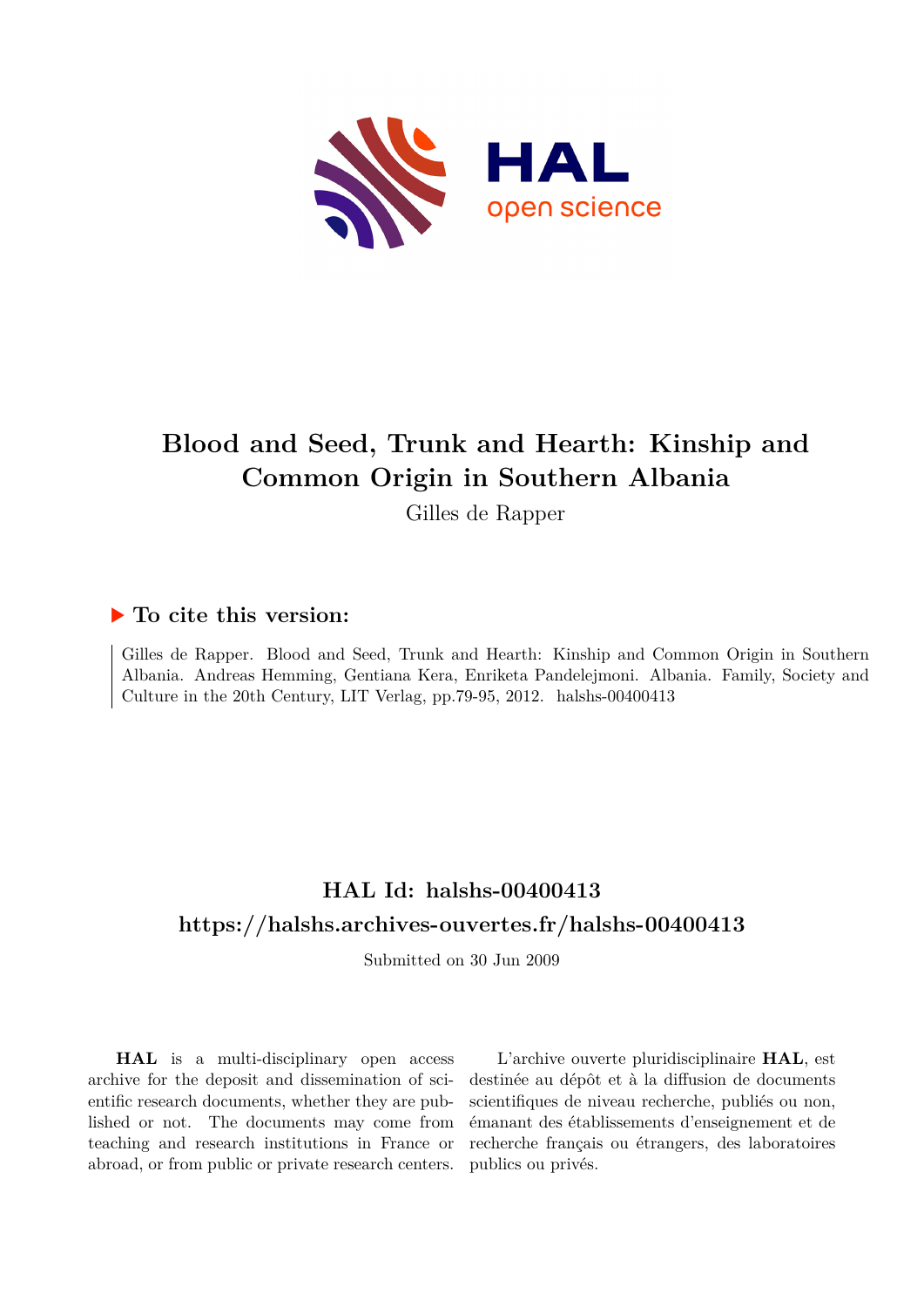

# **Blood and Seed, Trunk and Hearth: Kinship and Common Origin in Southern Albania**

Gilles de Rapper

### **To cite this version:**

Gilles de Rapper. Blood and Seed, Trunk and Hearth: Kinship and Common Origin in Southern Albania. Andreas Hemming, Gentiana Kera, Enriketa Pandelejmoni. Albania. Family, Society and Culture in the 20th Century, LIT Verlag, pp.79-95, 2012. halshs-00400413

## **HAL Id: halshs-00400413 <https://halshs.archives-ouvertes.fr/halshs-00400413>**

Submitted on 30 Jun 2009

**HAL** is a multi-disciplinary open access archive for the deposit and dissemination of scientific research documents, whether they are published or not. The documents may come from teaching and research institutions in France or abroad, or from public or private research centers.

L'archive ouverte pluridisciplinaire **HAL**, est destinée au dépôt et à la diffusion de documents scientifiques de niveau recherche, publiés ou non, émanant des établissements d'enseignement et de recherche français ou étrangers, des laboratoires publics ou privés.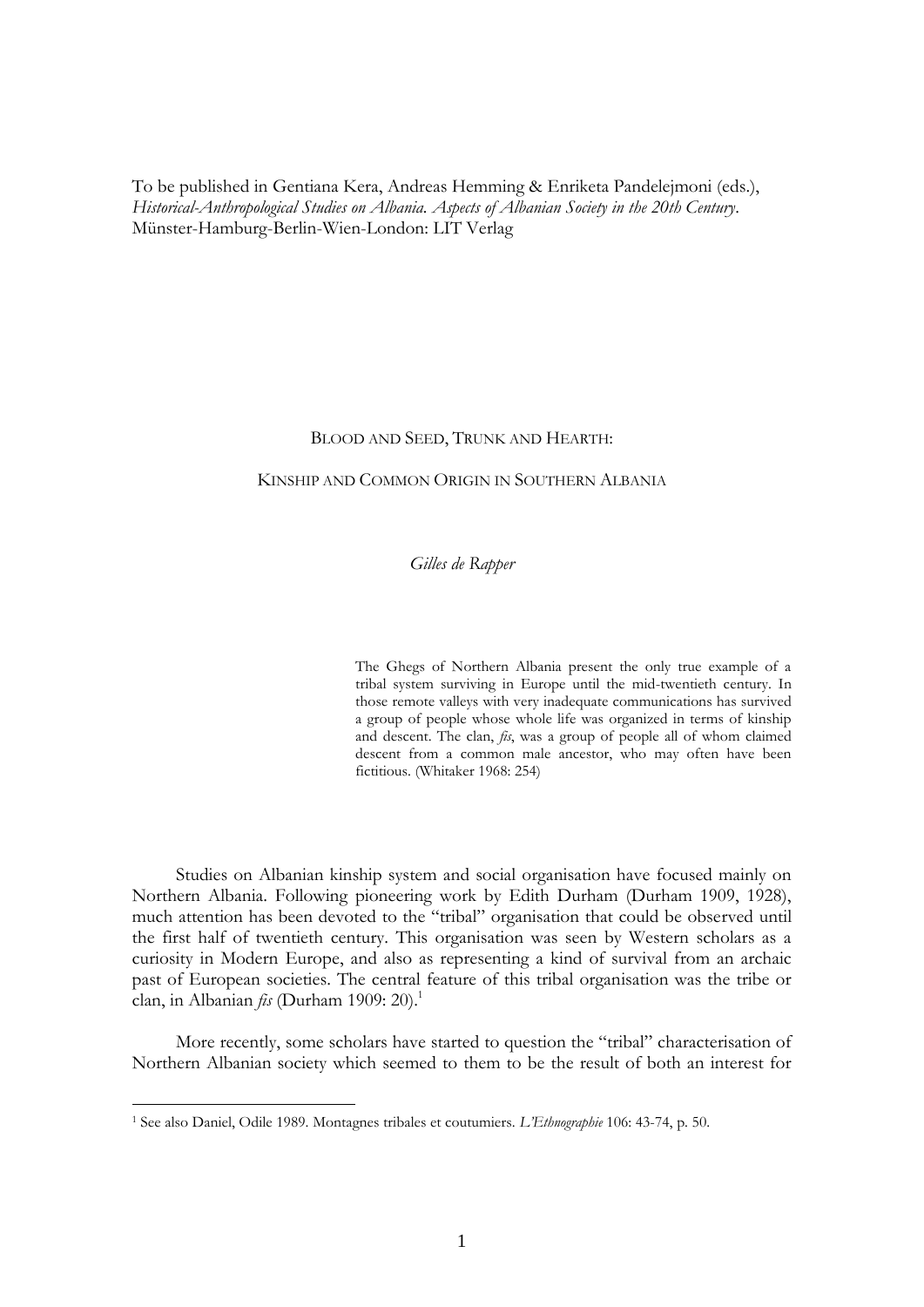To be published in Gentiana Kera, Andreas Hemming & Enriketa Pandelejmoni (eds.), *Historical-Anthropological Studies on Albania. Aspects of Albanian Society in the 20th Century*. Münster-Hamburg-Berlin-Wien-London: LIT Verlag

#### BLOOD AND SEED, TRUNK AND HEARTH:

#### KINSHIP AND COMMON ORIGIN IN SOUTHERN ALBANIA

#### *Gilles de Rapper*

The Ghegs of Northern Albania present the only true example of a tribal system surviving in Europe until the mid-twentieth century. In those remote valleys with very inadequate communications has survived a group of people whose whole life was organized in terms of kinship and descent. The clan, *fis*, was a group of people all of whom claimed descent from a common male ancestor, who may often have been fictitious. (Whitaker 1968: 254)

Studies on Albanian kinship system and social organisation have focused mainly on Northern Albania. Following pioneering work by Edith Durham (Durham 1909, 1928), much attention has been devoted to the "tribal" organisation that could be observed until the first half of twentieth century. This organisation was seen by Western scholars as a curiosity in Modern Europe, and also as representing a kind of survival from an archaic past of European societies. The central feature of this tribal organisation was the tribe or clan, in Albanian  $f_{15}$  (Durham 1909: 20).<sup>1</sup>

More recently, some scholars have started to question the "tribal" characterisation of Northern Albanian society which seemed to them to be the result of both an interest for

<sup>1</sup> See also Daniel, Odile 1989. Montagnes tribales et coutumiers. *L'Ethnographie* 106: 43-74, p. 50.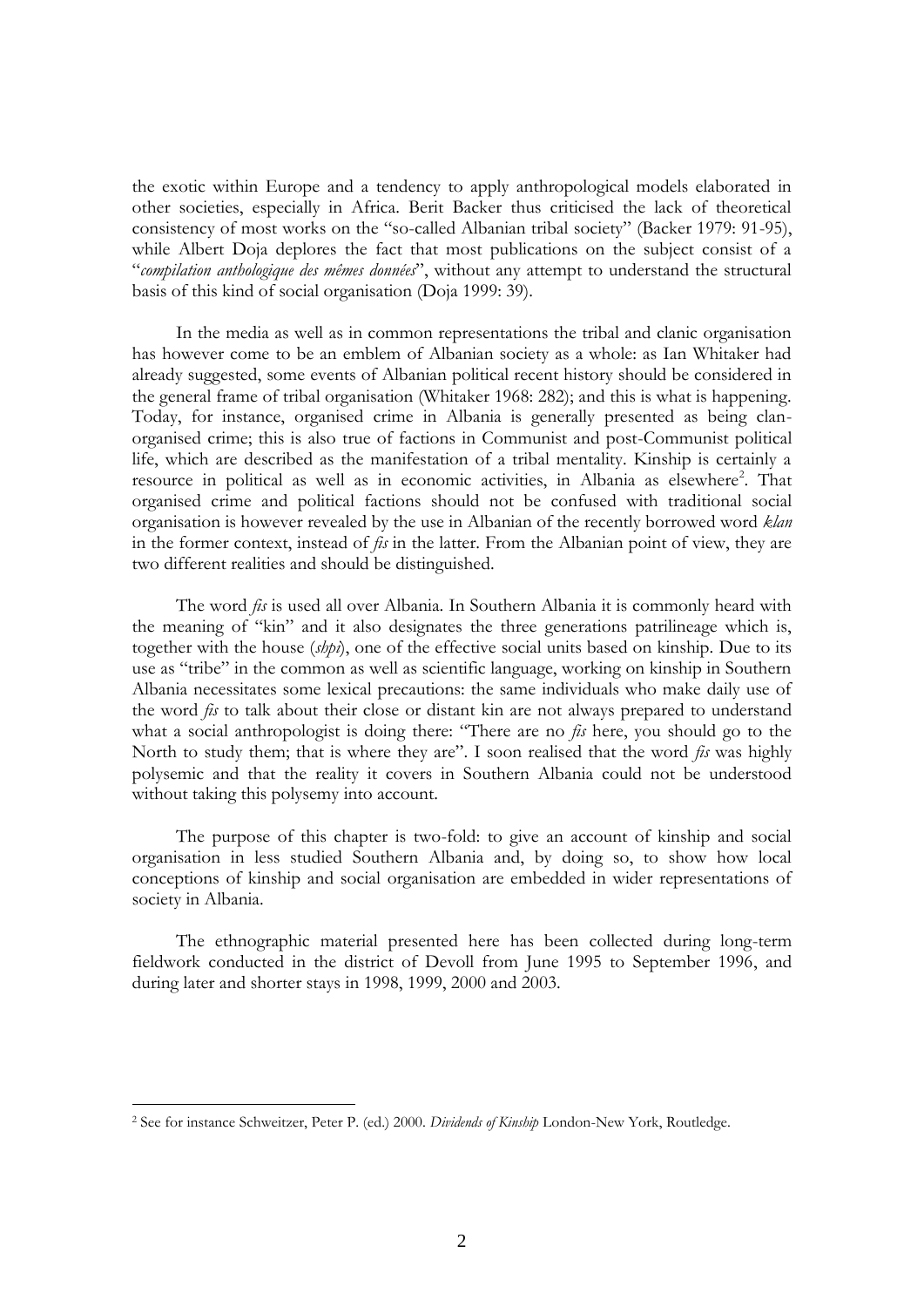the exotic within Europe and a tendency to apply anthropological models elaborated in other societies, especially in Africa. Berit Backer thus criticised the lack of theoretical consistency of most works on the "so-called Albanian tribal society" (Backer 1979: 91-95), while Albert Doja deplores the fact that most publications on the subject consist of a "*compilation anthologique des mêmes données*", without any attempt to understand the structural basis of this kind of social organisation (Doja 1999: 39).

In the media as well as in common representations the tribal and clanic organisation has however come to be an emblem of Albanian society as a whole: as Ian Whitaker had already suggested, some events of Albanian political recent history should be considered in the general frame of tribal organisation (Whitaker 1968: 282); and this is what is happening. Today, for instance, organised crime in Albania is generally presented as being clanorganised crime; this is also true of factions in Communist and post-Communist political life, which are described as the manifestation of a tribal mentality. Kinship is certainly a resource in political as well as in economic activities, in Albania as elsewhere<sup>2</sup>. That organised crime and political factions should not be confused with traditional social organisation is however revealed by the use in Albanian of the recently borrowed word *klan* in the former context, instead of *fis* in the latter. From the Albanian point of view, they are two different realities and should be distinguished.

The word *fis* is used all over Albania. In Southern Albania it is commonly heard with the meaning of "kin" and it also designates the three generations patrilineage which is, together with the house (*shpi*), one of the effective social units based on kinship. Due to its use as "tribe" in the common as well as scientific language, working on kinship in Southern Albania necessitates some lexical precautions: the same individuals who make daily use of the word *fis* to talk about their close or distant kin are not always prepared to understand what a social anthropologist is doing there: "There are no *fis* here, you should go to the North to study them; that is where they are". I soon realised that the word *fis* was highly polysemic and that the reality it covers in Southern Albania could not be understood without taking this polysemy into account.

The purpose of this chapter is two-fold: to give an account of kinship and social organisation in less studied Southern Albania and, by doing so, to show how local conceptions of kinship and social organisation are embedded in wider representations of society in Albania.

The ethnographic material presented here has been collected during long-term fieldwork conducted in the district of Devoll from June 1995 to September 1996, and during later and shorter stays in 1998, 1999, 2000 and 2003.

<sup>2</sup> See for instance Schweitzer, Peter P. (ed.) 2000. *Dividends of Kinship* London-New York, Routledge.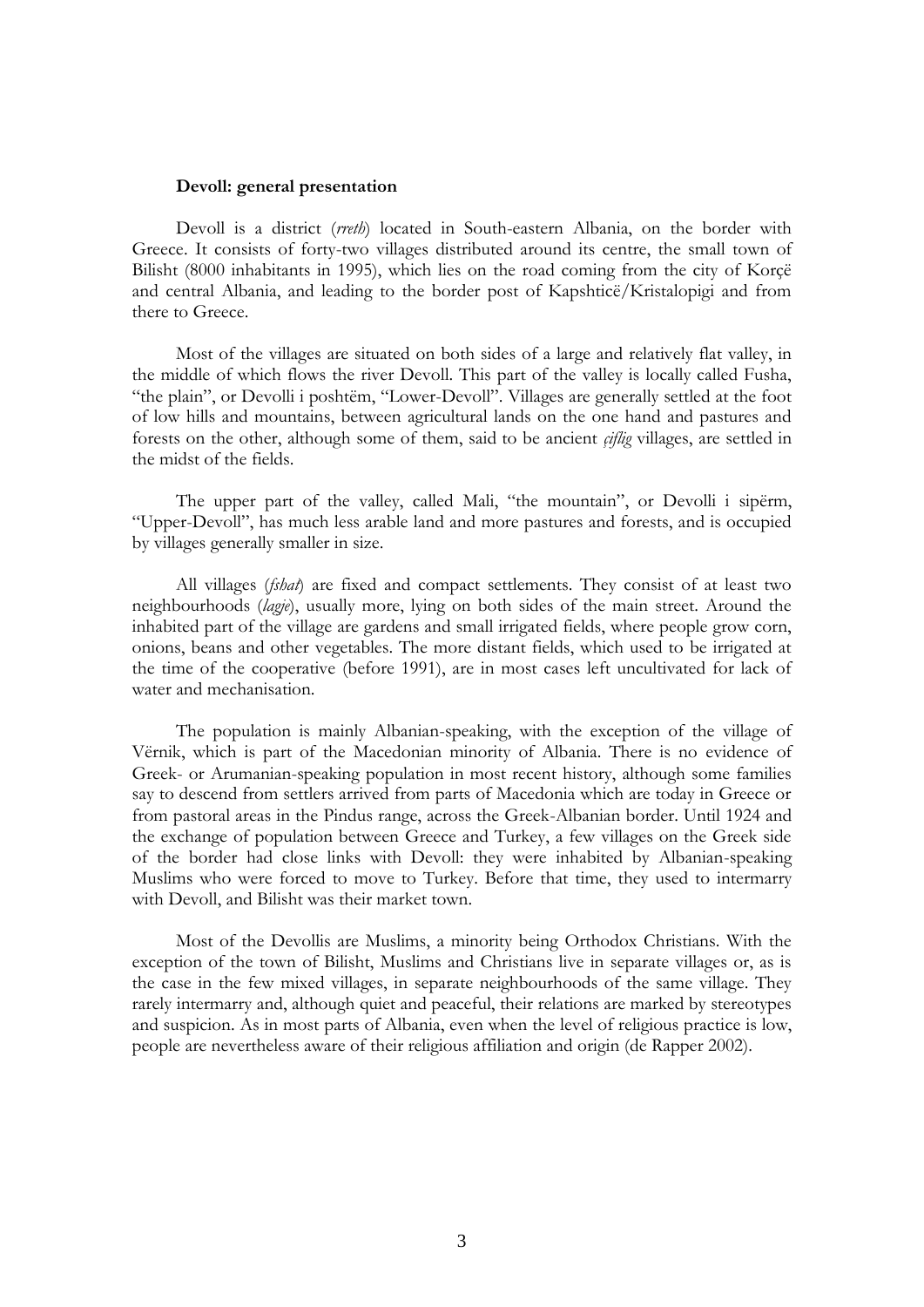#### **Devoll: general presentation**

Devoll is a district (*rreth*) located in South-eastern Albania, on the border with Greece. It consists of forty-two villages distributed around its centre, the small town of Bilisht (8000 inhabitants in 1995), which lies on the road coming from the city of Korçë and central Albania, and leading to the border post of Kapshticë/Kristalopigi and from there to Greece.

Most of the villages are situated on both sides of a large and relatively flat valley, in the middle of which flows the river Devoll. This part of the valley is locally called Fusha, "the plain", or Devolli i poshtëm, "Lower-Devoll". Villages are generally settled at the foot of low hills and mountains, between agricultural lands on the one hand and pastures and forests on the other, although some of them, said to be ancient *çiflig* villages, are settled in the midst of the fields.

The upper part of the valley, called Mali, "the mountain", or Devolli i sipërm, "Upper-Devoll", has much less arable land and more pastures and forests, and is occupied by villages generally smaller in size.

All villages (*fshat*) are fixed and compact settlements. They consist of at least two neighbourhoods (*lagje*), usually more, lying on both sides of the main street. Around the inhabited part of the village are gardens and small irrigated fields, where people grow corn, onions, beans and other vegetables. The more distant fields, which used to be irrigated at the time of the cooperative (before 1991), are in most cases left uncultivated for lack of water and mechanisation.

The population is mainly Albanian-speaking, with the exception of the village of Vërnik, which is part of the Macedonian minority of Albania. There is no evidence of Greek- or Arumanian-speaking population in most recent history, although some families say to descend from settlers arrived from parts of Macedonia which are today in Greece or from pastoral areas in the Pindus range, across the Greek-Albanian border. Until 1924 and the exchange of population between Greece and Turkey, a few villages on the Greek side of the border had close links with Devoll: they were inhabited by Albanian-speaking Muslims who were forced to move to Turkey. Before that time, they used to intermarry with Devoll, and Bilisht was their market town.

Most of the Devollis are Muslims, a minority being Orthodox Christians. With the exception of the town of Bilisht, Muslims and Christians live in separate villages or, as is the case in the few mixed villages, in separate neighbourhoods of the same village. They rarely intermarry and, although quiet and peaceful, their relations are marked by stereotypes and suspicion. As in most parts of Albania, even when the level of religious practice is low, people are nevertheless aware of their religious affiliation and origin (de Rapper 2002).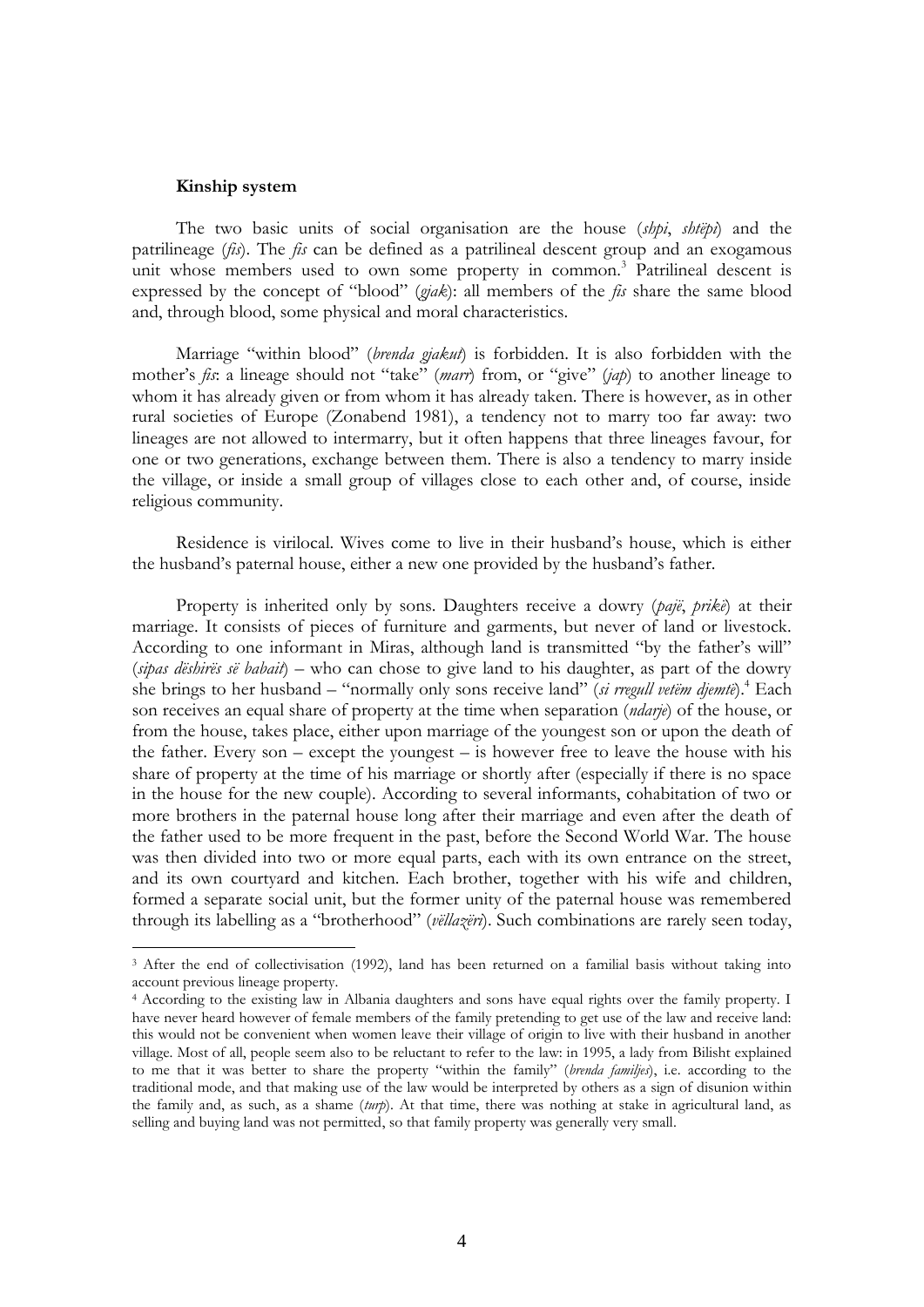#### **Kinship system**

1

The two basic units of social organisation are the house (*shpi*, *shtëpi*) and the patrilineage (*fis*). The *fis* can be defined as a patrilineal descent group and an exogamous unit whose members used to own some property in common.<sup>3</sup> Patrilineal descent is expressed by the concept of "blood" (*gjak*): all members of the *fis* share the same blood and, through blood, some physical and moral characteristics.

Marriage "within blood" (*brenda gjakut*) is forbidden. It is also forbidden with the mother"s *fis*: a lineage should not "take" (*marr*) from, or "give" (*jap*) to another lineage to whom it has already given or from whom it has already taken. There is however, as in other rural societies of Europe (Zonabend 1981), a tendency not to marry too far away: two lineages are not allowed to intermarry, but it often happens that three lineages favour, for one or two generations, exchange between them. There is also a tendency to marry inside the village, or inside a small group of villages close to each other and, of course, inside religious community.

Residence is virilocal. Wives come to live in their husband"s house, which is either the husband"s paternal house, either a new one provided by the husband"s father.

Property is inherited only by sons. Daughters receive a dowry (*pajë*, *prikë*) at their marriage. It consists of pieces of furniture and garments, but never of land or livestock. According to one informant in Miras, although land is transmitted "by the father's will" (*sipas dëshirës së babait*) – who can chose to give land to his daughter, as part of the dowry she brings to her husband – "normally only sons receive land" (*si rregull vetëm djemtë*).<sup>4</sup> Each son receives an equal share of property at the time when separation (*ndarje*) of the house, or from the house, takes place, either upon marriage of the youngest son or upon the death of the father. Every son – except the youngest – is however free to leave the house with his share of property at the time of his marriage or shortly after (especially if there is no space in the house for the new couple). According to several informants, cohabitation of two or more brothers in the paternal house long after their marriage and even after the death of the father used to be more frequent in the past, before the Second World War. The house was then divided into two or more equal parts, each with its own entrance on the street, and its own courtyard and kitchen. Each brother, together with his wife and children, formed a separate social unit, but the former unity of the paternal house was remembered through its labelling as a "brotherhood" (*vëllazëri*). Such combinations are rarely seen today,

<sup>3</sup> After the end of collectivisation (1992), land has been returned on a familial basis without taking into account previous lineage property.

<sup>4</sup> According to the existing law in Albania daughters and sons have equal rights over the family property. I have never heard however of female members of the family pretending to get use of the law and receive land: this would not be convenient when women leave their village of origin to live with their husband in another village. Most of all, people seem also to be reluctant to refer to the law: in 1995, a lady from Bilisht explained to me that it was better to share the property "within the family" (*brenda familjes*), i.e. according to the traditional mode, and that making use of the law would be interpreted by others as a sign of disunion within the family and, as such, as a shame (*turp*). At that time, there was nothing at stake in agricultural land, as selling and buying land was not permitted, so that family property was generally very small.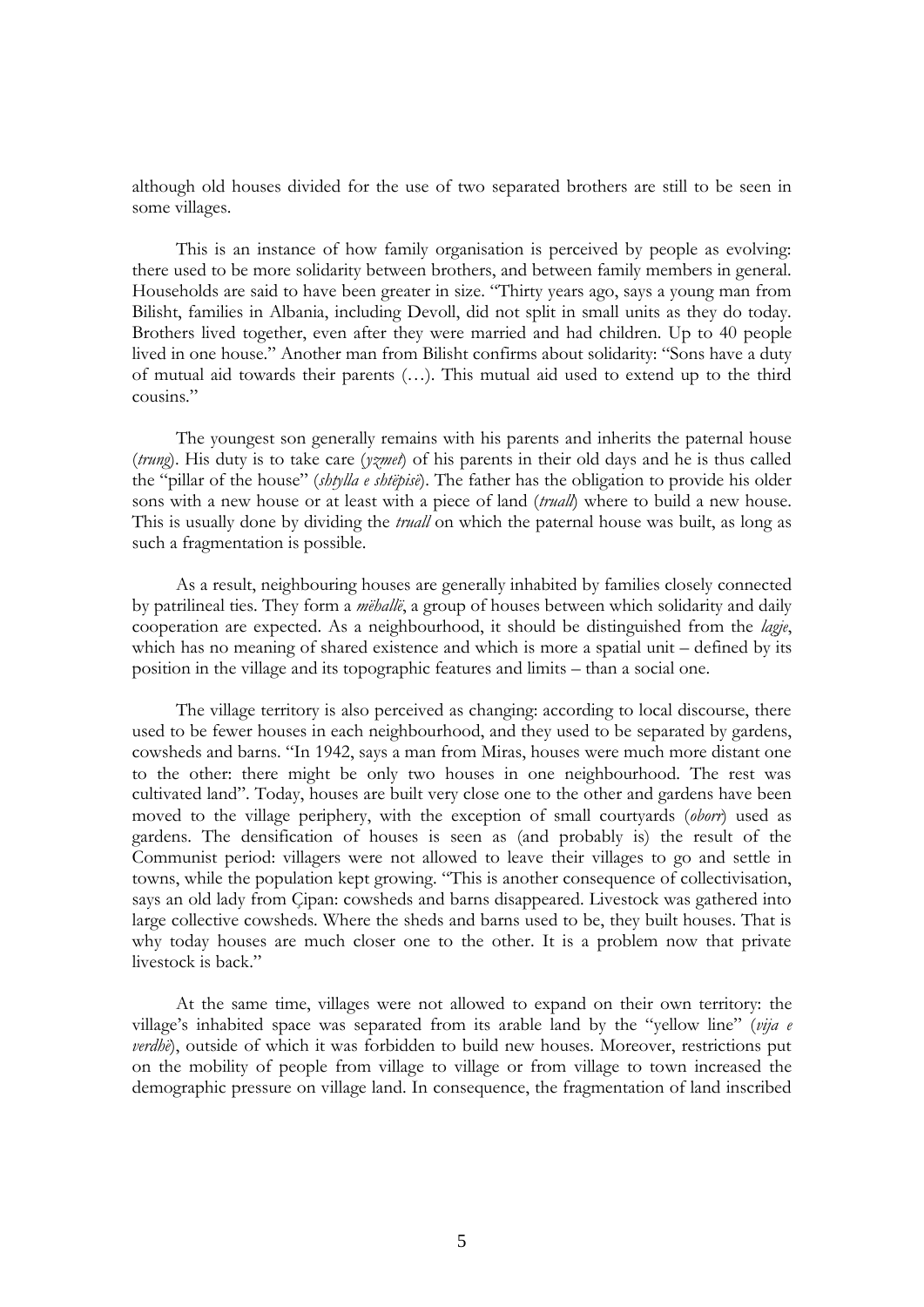although old houses divided for the use of two separated brothers are still to be seen in some villages.

This is an instance of how family organisation is perceived by people as evolving: there used to be more solidarity between brothers, and between family members in general. Households are said to have been greater in size. "Thirty years ago, says a young man from Bilisht, families in Albania, including Devoll, did not split in small units as they do today. Brothers lived together, even after they were married and had children. Up to 40 people lived in one house." Another man from Bilisht confirms about solidarity: "Sons have a duty of mutual aid towards their parents (…). This mutual aid used to extend up to the third cousins."

The youngest son generally remains with his parents and inherits the paternal house (*trung*). His duty is to take care (*yzmet*) of his parents in their old days and he is thus called the "pillar of the house" (*shtylla e shtëpisë*). The father has the obligation to provide his older sons with a new house or at least with a piece of land (*truall*) where to build a new house. This is usually done by dividing the *truall* on which the paternal house was built, as long as such a fragmentation is possible.

As a result, neighbouring houses are generally inhabited by families closely connected by patrilineal ties. They form a *mëhallë*, a group of houses between which solidarity and daily cooperation are expected. As a neighbourhood, it should be distinguished from the *lagje*, which has no meaning of shared existence and which is more a spatial unit – defined by its position in the village and its topographic features and limits – than a social one.

The village territory is also perceived as changing: according to local discourse, there used to be fewer houses in each neighbourhood, and they used to be separated by gardens, cowsheds and barns. "In 1942, says a man from Miras, houses were much more distant one to the other: there might be only two houses in one neighbourhood. The rest was cultivated land". Today, houses are built very close one to the other and gardens have been moved to the village periphery, with the exception of small courtyards (*oborr*) used as gardens. The densification of houses is seen as (and probably is) the result of the Communist period: villagers were not allowed to leave their villages to go and settle in towns, while the population kept growing. "This is another consequence of collectivisation, says an old lady from Çipan: cowsheds and barns disappeared. Livestock was gathered into large collective cowsheds. Where the sheds and barns used to be, they built houses. That is why today houses are much closer one to the other. It is a problem now that private livestock is back."

At the same time, villages were not allowed to expand on their own territory: the village"s inhabited space was separated from its arable land by the "yellow line" (*vija e verdhë*), outside of which it was forbidden to build new houses. Moreover, restrictions put on the mobility of people from village to village or from village to town increased the demographic pressure on village land. In consequence, the fragmentation of land inscribed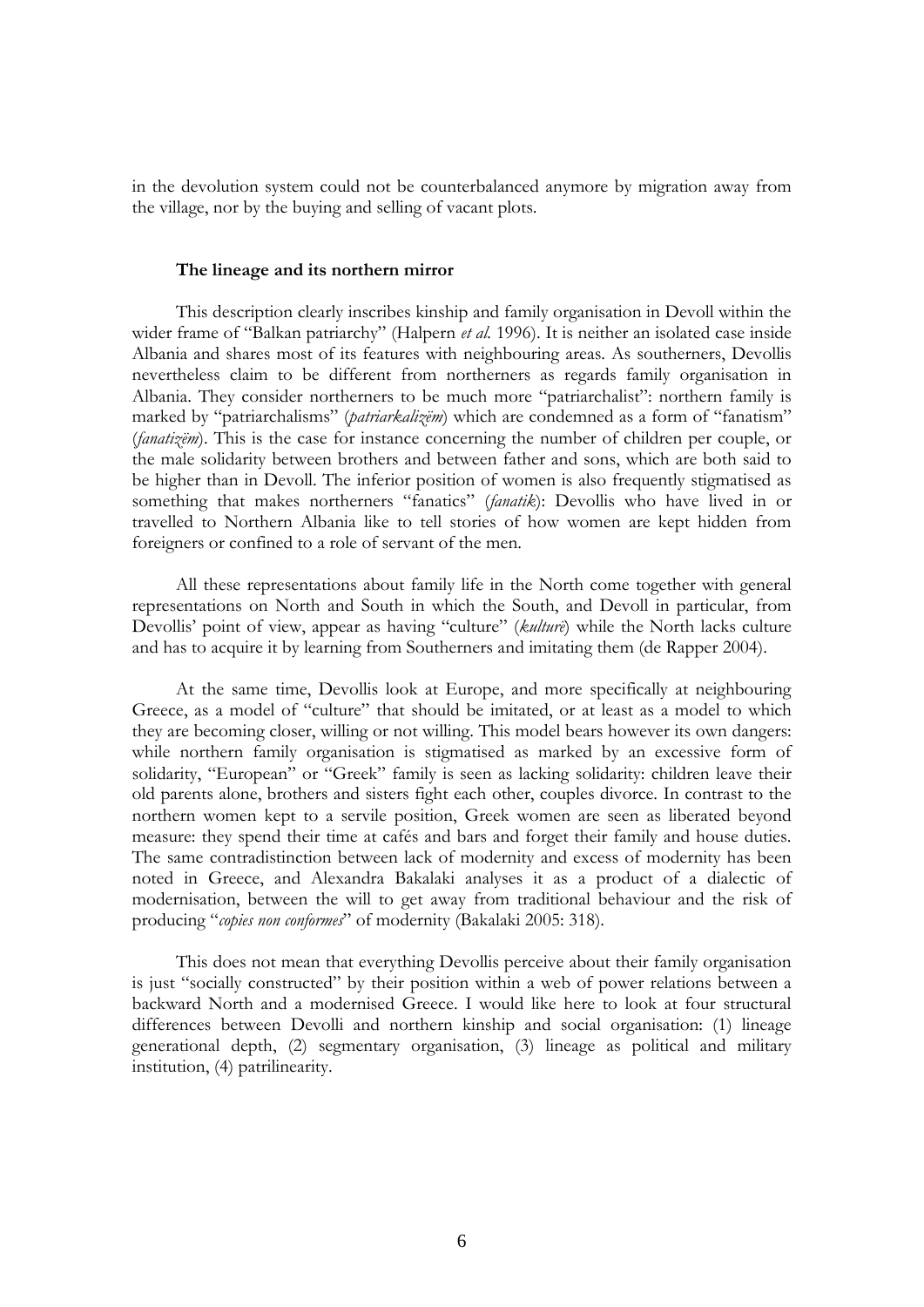in the devolution system could not be counterbalanced anymore by migration away from the village, nor by the buying and selling of vacant plots.

#### **The lineage and its northern mirror**

This description clearly inscribes kinship and family organisation in Devoll within the wider frame of "Balkan patriarchy" (Halpern *et al.* 1996). It is neither an isolated case inside Albania and shares most of its features with neighbouring areas. As southerners, Devollis nevertheless claim to be different from northerners as regards family organisation in Albania. They consider northerners to be much more "patriarchalist": northern family is marked by "patriarchalisms" (*patriarkalizëm*) which are condemned as a form of "fanatism" (*fanatizëm*). This is the case for instance concerning the number of children per couple, or the male solidarity between brothers and between father and sons, which are both said to be higher than in Devoll. The inferior position of women is also frequently stigmatised as something that makes northerners "fanatics" (*fanatik*): Devollis who have lived in or travelled to Northern Albania like to tell stories of how women are kept hidden from foreigners or confined to a role of servant of the men.

All these representations about family life in the North come together with general representations on North and South in which the South, and Devoll in particular, from Devollis' point of view, appear as having "culture" (*kulturë*) while the North lacks culture and has to acquire it by learning from Southerners and imitating them (de Rapper 2004).

At the same time, Devollis look at Europe, and more specifically at neighbouring Greece, as a model of "culture" that should be imitated, or at least as a model to which they are becoming closer, willing or not willing. This model bears however its own dangers: while northern family organisation is stigmatised as marked by an excessive form of solidarity, "European" or "Greek" family is seen as lacking solidarity: children leave their old parents alone, brothers and sisters fight each other, couples divorce. In contrast to the northern women kept to a servile position, Greek women are seen as liberated beyond measure: they spend their time at cafés and bars and forget their family and house duties. The same contradistinction between lack of modernity and excess of modernity has been noted in Greece, and Alexandra Bakalaki analyses it as a product of a dialectic of modernisation, between the will to get away from traditional behaviour and the risk of producing "*copies non conformes*" of modernity (Bakalaki 2005: 318).

This does not mean that everything Devollis perceive about their family organisation is just "socially constructed" by their position within a web of power relations between a backward North and a modernised Greece. I would like here to look at four structural differences between Devolli and northern kinship and social organisation: (1) lineage generational depth, (2) segmentary organisation, (3) lineage as political and military institution, (4) patrilinearity.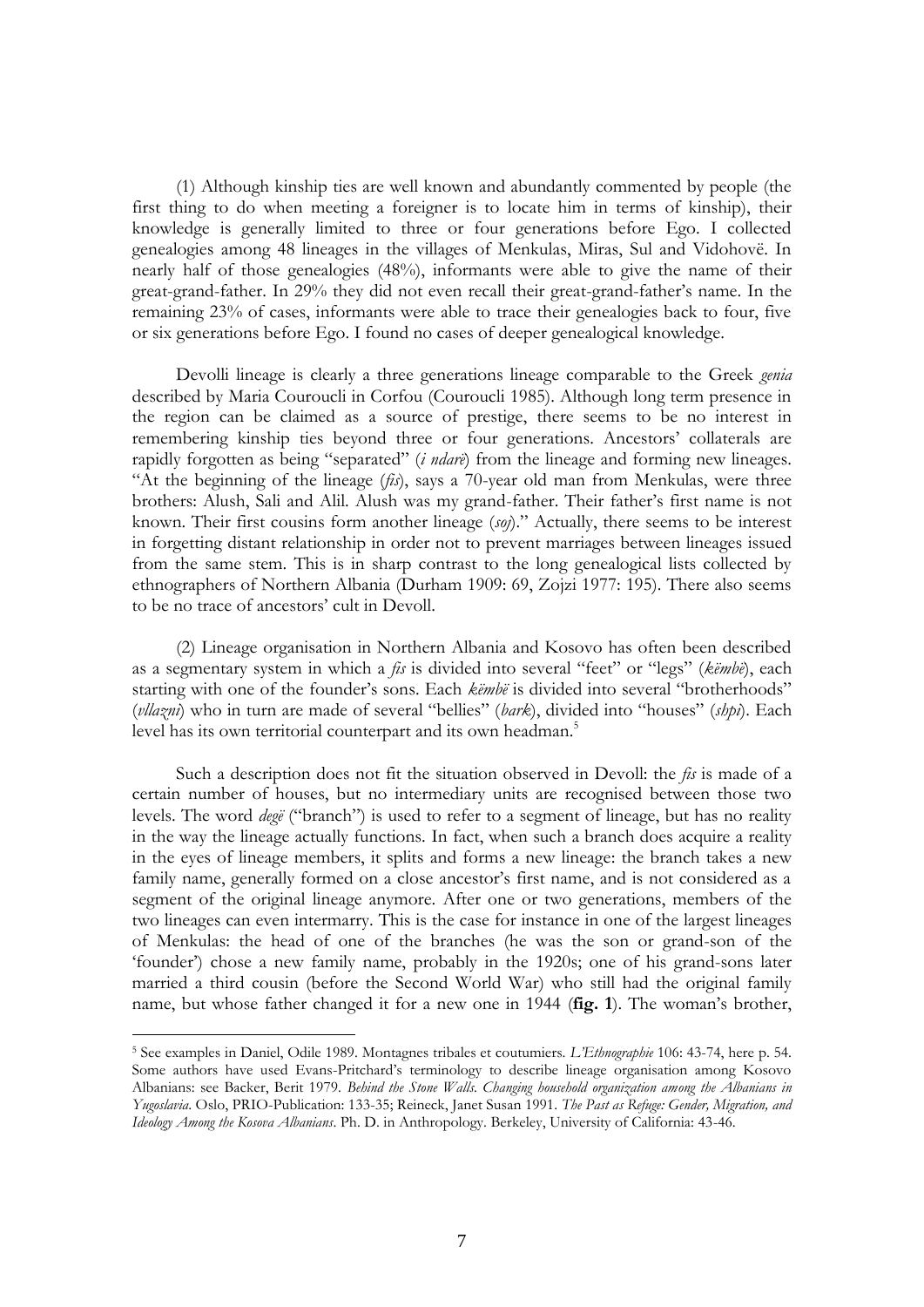(1) Although kinship ties are well known and abundantly commented by people (the first thing to do when meeting a foreigner is to locate him in terms of kinship), their knowledge is generally limited to three or four generations before Ego. I collected genealogies among 48 lineages in the villages of Menkulas, Miras, Sul and Vidohovë. In nearly half of those genealogies (48%), informants were able to give the name of their great-grand-father. In 29% they did not even recall their great-grand-father"s name. In the remaining 23% of cases, informants were able to trace their genealogies back to four, five or six generations before Ego. I found no cases of deeper genealogical knowledge.

Devolli lineage is clearly a three generations lineage comparable to the Greek *genia* described by Maria Couroucli in Corfou (Couroucli 1985). Although long term presence in the region can be claimed as a source of prestige, there seems to be no interest in remembering kinship ties beyond three or four generations. Ancestors' collaterals are rapidly forgotten as being "separated" (*i ndarë*) from the lineage and forming new lineages. "At the beginning of the lineage (*fis*), says a 70-year old man from Menkulas, were three brothers: Alush, Sali and Alil. Alush was my grand-father. Their father's first name is not known. Their first cousins form another lineage (*soj*)." Actually, there seems to be interest in forgetting distant relationship in order not to prevent marriages between lineages issued from the same stem. This is in sharp contrast to the long genealogical lists collected by ethnographers of Northern Albania (Durham 1909: 69, Zojzi 1977: 195). There also seems to be no trace of ancestors' cult in Devoll.

(2) Lineage organisation in Northern Albania and Kosovo has often been described as a segmentary system in which a *fis* is divided into several "feet" or "legs" (*këmbë*), each starting with one of the founder's sons. Each *këmbë* is divided into several "brotherhoods" (*vllazni*) who in turn are made of several "bellies" (*bark*), divided into "houses" (*shpi*). Each level has its own territorial counterpart and its own headman.<sup>5</sup>

Such a description does not fit the situation observed in Devoll: the *fis* is made of a certain number of houses, but no intermediary units are recognised between those two levels. The word *degë* ("branch") is used to refer to a segment of lineage, but has no reality in the way the lineage actually functions. In fact, when such a branch does acquire a reality in the eyes of lineage members, it splits and forms a new lineage: the branch takes a new family name, generally formed on a close ancestor's first name, and is not considered as a segment of the original lineage anymore. After one or two generations, members of the two lineages can even intermarry. This is the case for instance in one of the largest lineages of Menkulas: the head of one of the branches (he was the son or grand-son of the "founder") chose a new family name, probably in the 1920s; one of his grand-sons later married a third cousin (before the Second World War) who still had the original family name, but whose father changed it for a new one in 1944 (**fig. 1**). The woman"s brother,

<sup>5</sup> See examples in Daniel, Odile 1989. Montagnes tribales et coutumiers. *L'Ethnographie* 106: 43-74, here p. 54. Some authors have used Evans-Pritchard"s terminology to describe lineage organisation among Kosovo Albanians: see Backer, Berit 1979. *Behind the Stone Walls. Changing household organization among the Albanians in Yugoslavia*. Oslo, PRIO-Publication: 133-35; Reineck, Janet Susan 1991. *The Past as Refuge: Gender, Migration, and Ideology Among the Kosova Albanians*. Ph. D. in Anthropology. Berkeley, University of California: 43-46.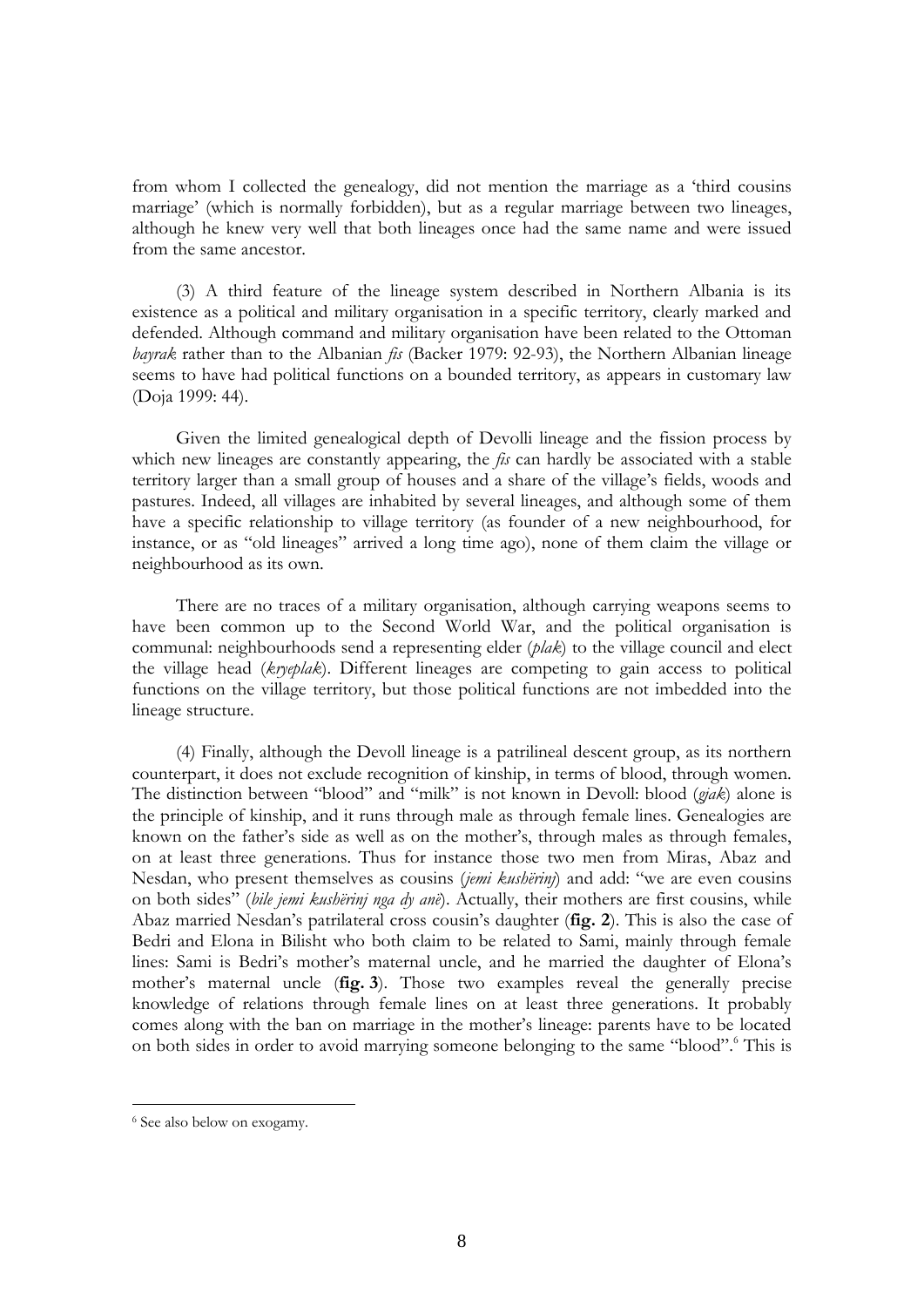from whom I collected the genealogy, did not mention the marriage as a "third cousins marriage" (which is normally forbidden), but as a regular marriage between two lineages, although he knew very well that both lineages once had the same name and were issued from the same ancestor.

(3) A third feature of the lineage system described in Northern Albania is its existence as a political and military organisation in a specific territory, clearly marked and defended. Although command and military organisation have been related to the Ottoman *bayrak* rather than to the Albanian *fis* (Backer 1979: 92-93), the Northern Albanian lineage seems to have had political functions on a bounded territory, as appears in customary law (Doja 1999: 44).

Given the limited genealogical depth of Devolli lineage and the fission process by which new lineages are constantly appearing, the *fis* can hardly be associated with a stable territory larger than a small group of houses and a share of the village"s fields, woods and pastures. Indeed, all villages are inhabited by several lineages, and although some of them have a specific relationship to village territory (as founder of a new neighbourhood, for instance, or as "old lineages" arrived a long time ago), none of them claim the village or neighbourhood as its own.

There are no traces of a military organisation, although carrying weapons seems to have been common up to the Second World War, and the political organisation is communal: neighbourhoods send a representing elder (*plak*) to the village council and elect the village head (*kryeplak*). Different lineages are competing to gain access to political functions on the village territory, but those political functions are not imbedded into the lineage structure.

(4) Finally, although the Devoll lineage is a patrilineal descent group, as its northern counterpart, it does not exclude recognition of kinship, in terms of blood, through women. The distinction between "blood" and "milk" is not known in Devoll: blood (*gjak*) alone is the principle of kinship, and it runs through male as through female lines. Genealogies are known on the father"s side as well as on the mother"s, through males as through females, on at least three generations. Thus for instance those two men from Miras, Abaz and Nesdan, who present themselves as cousins (*jemi kushërinj*) and add: "we are even cousins on both sides" (*bile jemi kushërinj nga dy anë*). Actually, their mothers are first cousins, while Abaz married Nesdan"s patrilateral cross cousin"s daughter (**fig. 2**). This is also the case of Bedri and Elona in Bilisht who both claim to be related to Sami, mainly through female lines: Sami is Bedri's mother's maternal uncle, and he married the daughter of Elona's mother"s maternal uncle (**fig. 3**). Those two examples reveal the generally precise knowledge of relations through female lines on at least three generations. It probably comes along with the ban on marriage in the mother"s lineage: parents have to be located on both sides in order to avoid marrying someone belonging to the same "blood". This is

<sup>6</sup> See also below on exogamy.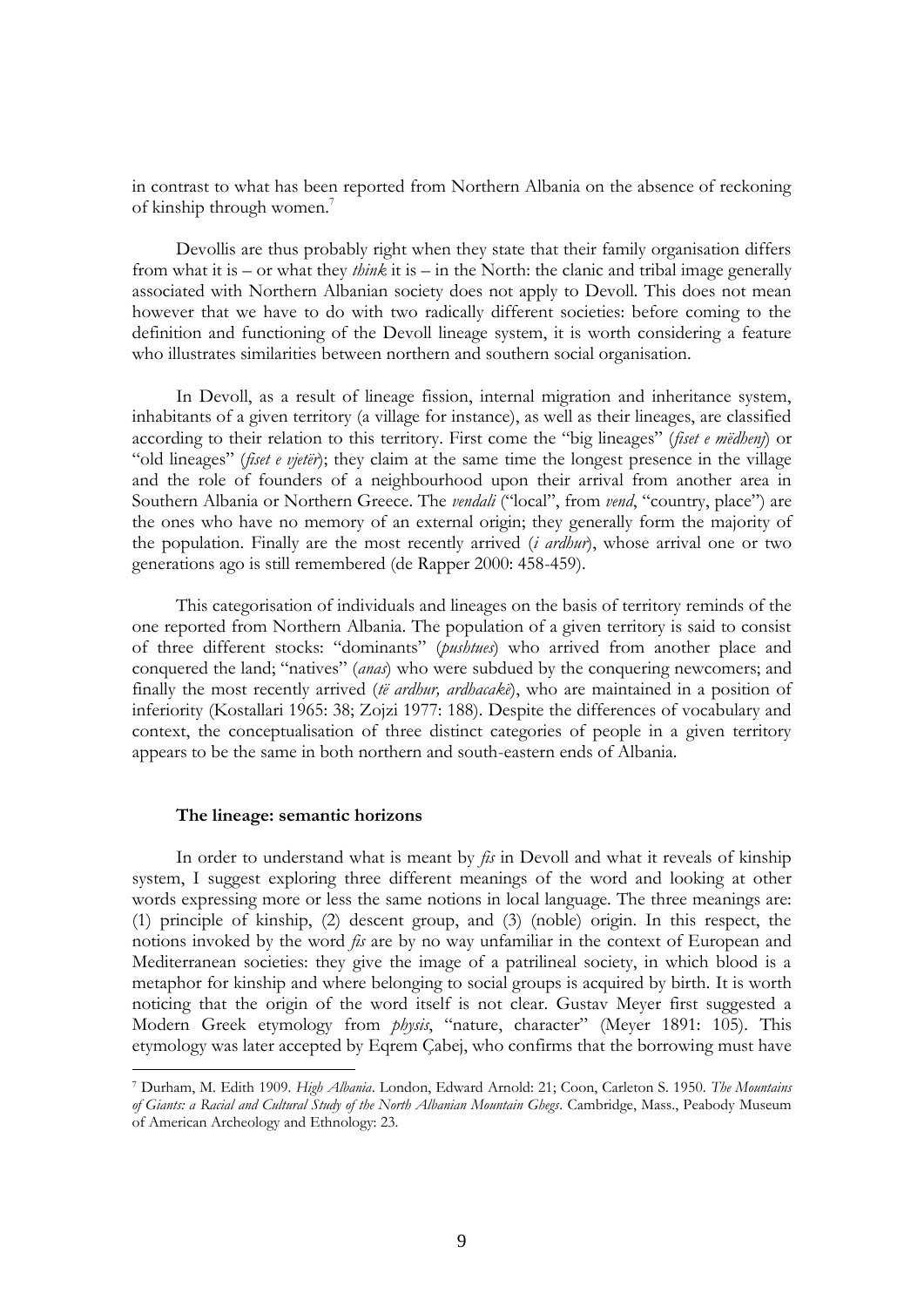in contrast to what has been reported from Northern Albania on the absence of reckoning of kinship through women.<sup>7</sup>

Devollis are thus probably right when they state that their family organisation differs from what it is – or what they *think* it is – in the North: the clanic and tribal image generally associated with Northern Albanian society does not apply to Devoll. This does not mean however that we have to do with two radically different societies: before coming to the definition and functioning of the Devoll lineage system, it is worth considering a feature who illustrates similarities between northern and southern social organisation.

In Devoll, as a result of lineage fission, internal migration and inheritance system, inhabitants of a given territory (a village for instance), as well as their lineages, are classified according to their relation to this territory. First come the "big lineages" (*fiset e mëdhenj*) or "old lineages" (*fiset e vjetër*); they claim at the same time the longest presence in the village and the role of founders of a neighbourhood upon their arrival from another area in Southern Albania or Northern Greece. The *vendali* ("local", from *vend*, "country, place") are the ones who have no memory of an external origin; they generally form the majority of the population. Finally are the most recently arrived (*i ardhur*), whose arrival one or two generations ago is still remembered (de Rapper 2000: 458-459).

This categorisation of individuals and lineages on the basis of territory reminds of the one reported from Northern Albania. The population of a given territory is said to consist of three different stocks: "dominants" (*pushtues*) who arrived from another place and conquered the land; "natives" (*anas*) who were subdued by the conquering newcomers; and finally the most recently arrived (*të ardhur, ardhacakë*), who are maintained in a position of inferiority (Kostallari 1965: 38; Zojzi 1977: 188). Despite the differences of vocabulary and context, the conceptualisation of three distinct categories of people in a given territory appears to be the same in both northern and south-eastern ends of Albania.

#### **The lineage: semantic horizons**

<u>.</u>

In order to understand what is meant by *fis* in Devoll and what it reveals of kinship system, I suggest exploring three different meanings of the word and looking at other words expressing more or less the same notions in local language. The three meanings are: (1) principle of kinship, (2) descent group, and (3) (noble) origin. In this respect, the notions invoked by the word *fis* are by no way unfamiliar in the context of European and Mediterranean societies: they give the image of a patrilineal society, in which blood is a metaphor for kinship and where belonging to social groups is acquired by birth. It is worth noticing that the origin of the word itself is not clear. Gustav Meyer first suggested a Modern Greek etymology from *physis*, "nature, character" (Meyer 1891: 105). This etymology was later accepted by Eqrem Çabej, who confirms that the borrowing must have

<sup>7</sup> Durham, M. Edith 1909. *High Albania*. London, Edward Arnold: 21; Coon, Carleton S. 1950. *The Mountains of Giants: a Racial and Cultural Study of the North Albanian Mountain Ghegs*. Cambridge, Mass., Peabody Museum of American Archeology and Ethnology: 23.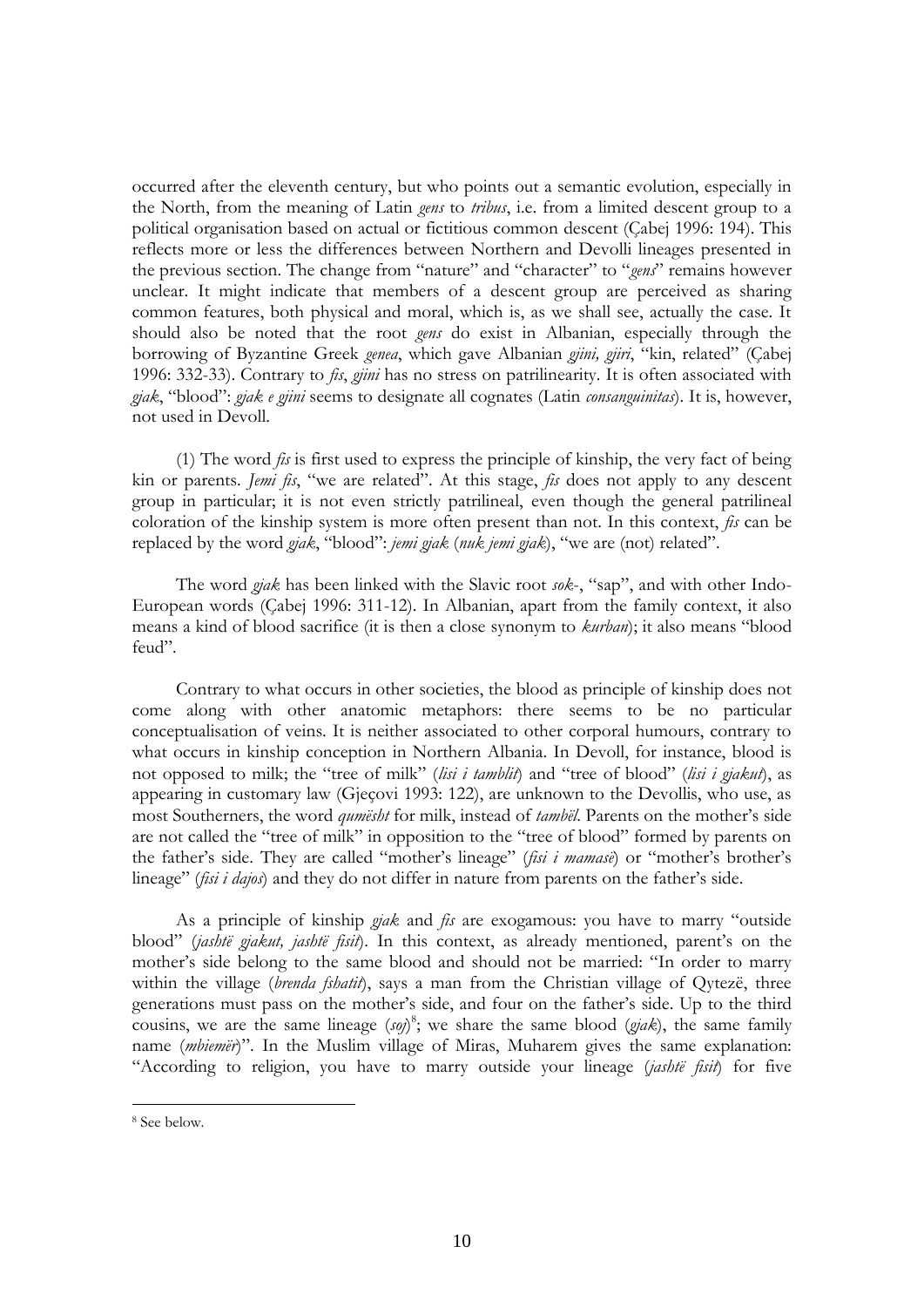occurred after the eleventh century, but who points out a semantic evolution, especially in the North, from the meaning of Latin *gens* to *tribus*, i.e. from a limited descent group to a political organisation based on actual or fictitious common descent (Çabej 1996: 194). This reflects more or less the differences between Northern and Devolli lineages presented in the previous section. The change from "nature" and "character" to "*gens*" remains however unclear. It might indicate that members of a descent group are perceived as sharing common features, both physical and moral, which is, as we shall see, actually the case. It should also be noted that the root *gens* do exist in Albanian, especially through the borrowing of Byzantine Greek *genea*, which gave Albanian *gjini, gjiri*, "kin, related" (Çabej 1996: 332-33). Contrary to *fis*, *gjini* has no stress on patrilinearity. It is often associated with *gjak*, "blood": *gjak e gjini* seems to designate all cognates (Latin *consanguinitas*). It is, however, not used in Devoll.

(1) The word *fis* is first used to express the principle of kinship, the very fact of being kin or parents. *Jemi fis*, "we are related". At this stage, *fis* does not apply to any descent group in particular; it is not even strictly patrilineal, even though the general patrilineal coloration of the kinship system is more often present than not. In this context, *fis* can be replaced by the word *gjak*, "blood": *jemi gjak* (*nuk jemi gjak*), "we are (not) related".

The word *gjak* has been linked with the Slavic root *sok*-, "sap", and with other Indo-European words (Çabej 1996: 311-12). In Albanian, apart from the family context, it also means a kind of blood sacrifice (it is then a close synonym to *kurban*); it also means "blood feud".

Contrary to what occurs in other societies, the blood as principle of kinship does not come along with other anatomic metaphors: there seems to be no particular conceptualisation of veins. It is neither associated to other corporal humours, contrary to what occurs in kinship conception in Northern Albania. In Devoll, for instance, blood is not opposed to milk; the "tree of milk" (*lisi i tamblit*) and "tree of blood" (*lisi i gjakut*), as appearing in customary law (Gjeçovi 1993: 122), are unknown to the Devollis, who use, as most Southerners, the word *qumësht* for milk, instead of *tambël*. Parents on the mother"s side are not called the "tree of milk" in opposition to the "tree of blood" formed by parents on the father"s side. They are called "mother"s lineage" (*fisi i mamasë*) or "mother"s brother"s lineage" (*fisi i dajos*) and they do not differ in nature from parents on the father's side.

As a principle of kinship *gjak* and *fis* are exogamous: you have to marry "outside blood" (*jashtë gjakut, jashtë fisit*). In this context, as already mentioned, parent"s on the mother's side belong to the same blood and should not be married: "In order to marry within the village (*brenda fshatit*), says a man from the Christian village of Qytezë, three generations must pass on the mother"s side, and four on the father"s side. Up to the third cousins, we are the same lineage  $(sq)$ <sup>8</sup>; we share the same blood  $(gjak)$ , the same family name (*mbiemër*)". In the Muslim village of Miras, Muharem gives the same explanation: "According to religion, you have to marry outside your lineage (*jashtë fisit*) for five

<sup>8</sup> See below.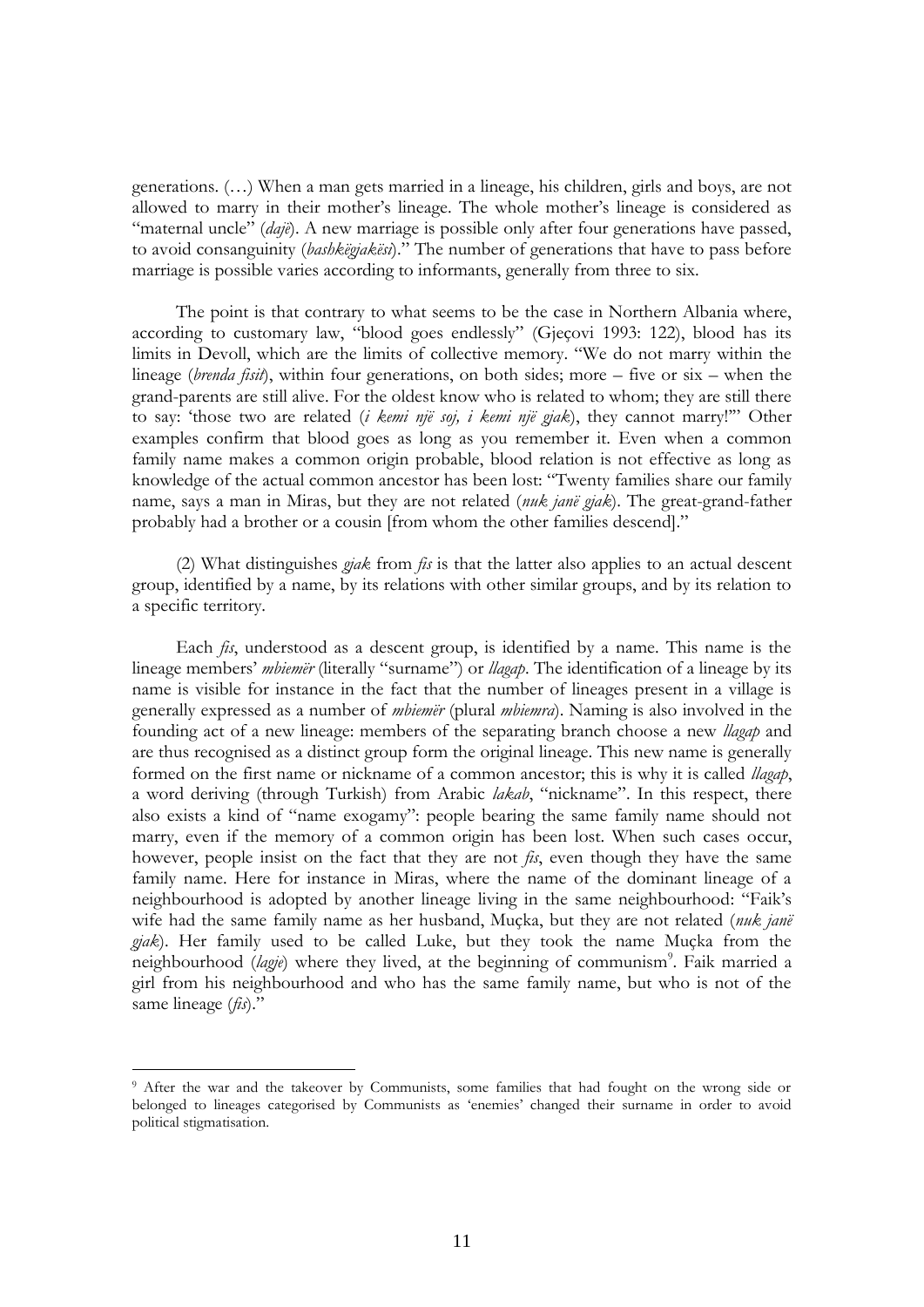generations. (…) When a man gets married in a lineage, his children, girls and boys, are not allowed to marry in their mother"s lineage. The whole mother"s lineage is considered as "maternal uncle" (*dajë*). A new marriage is possible only after four generations have passed, to avoid consanguinity (*bashkëgjakësi*)." The number of generations that have to pass before marriage is possible varies according to informants, generally from three to six.

The point is that contrary to what seems to be the case in Northern Albania where, according to customary law, "blood goes endlessly" (Gjeçovi 1993: 122), blood has its limits in Devoll, which are the limits of collective memory. "We do not marry within the lineage (*brenda fisit*), within four generations, on both sides; more – five or six – when the grand-parents are still alive. For the oldest know who is related to whom; they are still there to say: "those two are related (*i kemi një soj, i kemi një gjak*), they cannot marry!"" Other examples confirm that blood goes as long as you remember it. Even when a common family name makes a common origin probable, blood relation is not effective as long as knowledge of the actual common ancestor has been lost: "Twenty families share our family name, says a man in Miras, but they are not related (*nuk janë gjak*). The great-grand-father probably had a brother or a cousin [from whom the other families descend]."

(2) What distinguishes *gjak* from *fis* is that the latter also applies to an actual descent group, identified by a name, by its relations with other similar groups, and by its relation to a specific territory.

Each *fis*, understood as a descent group, is identified by a name. This name is the lineage members' *mbiemër* (literally "surname") or *llagap*. The identification of a lineage by its name is visible for instance in the fact that the number of lineages present in a village is generally expressed as a number of *mbiemër* (plural *mbiemra*). Naming is also involved in the founding act of a new lineage: members of the separating branch choose a new *llagap* and are thus recognised as a distinct group form the original lineage. This new name is generally formed on the first name or nickname of a common ancestor; this is why it is called *llagap*, a word deriving (through Turkish) from Arabic *lakab*, "nickname". In this respect, there also exists a kind of "name exogamy": people bearing the same family name should not marry, even if the memory of a common origin has been lost. When such cases occur, however, people insist on the fact that they are not *fis*, even though they have the same family name. Here for instance in Miras, where the name of the dominant lineage of a neighbourhood is adopted by another lineage living in the same neighbourhood: "Faik"s wife had the same family name as her husband, Muçka, but they are not related (*nuk janë gjak*). Her family used to be called Luke, but they took the name Muçka from the neighbourhood (lagje) where they lived, at the beginning of communism<sup>9</sup>. Faik married a girl from his neighbourhood and who has the same family name, but who is not of the same lineage (*fis*)."

<u>.</u>

<sup>9</sup> After the war and the takeover by Communists, some families that had fought on the wrong side or belonged to lineages categorised by Communists as "enemies" changed their surname in order to avoid political stigmatisation.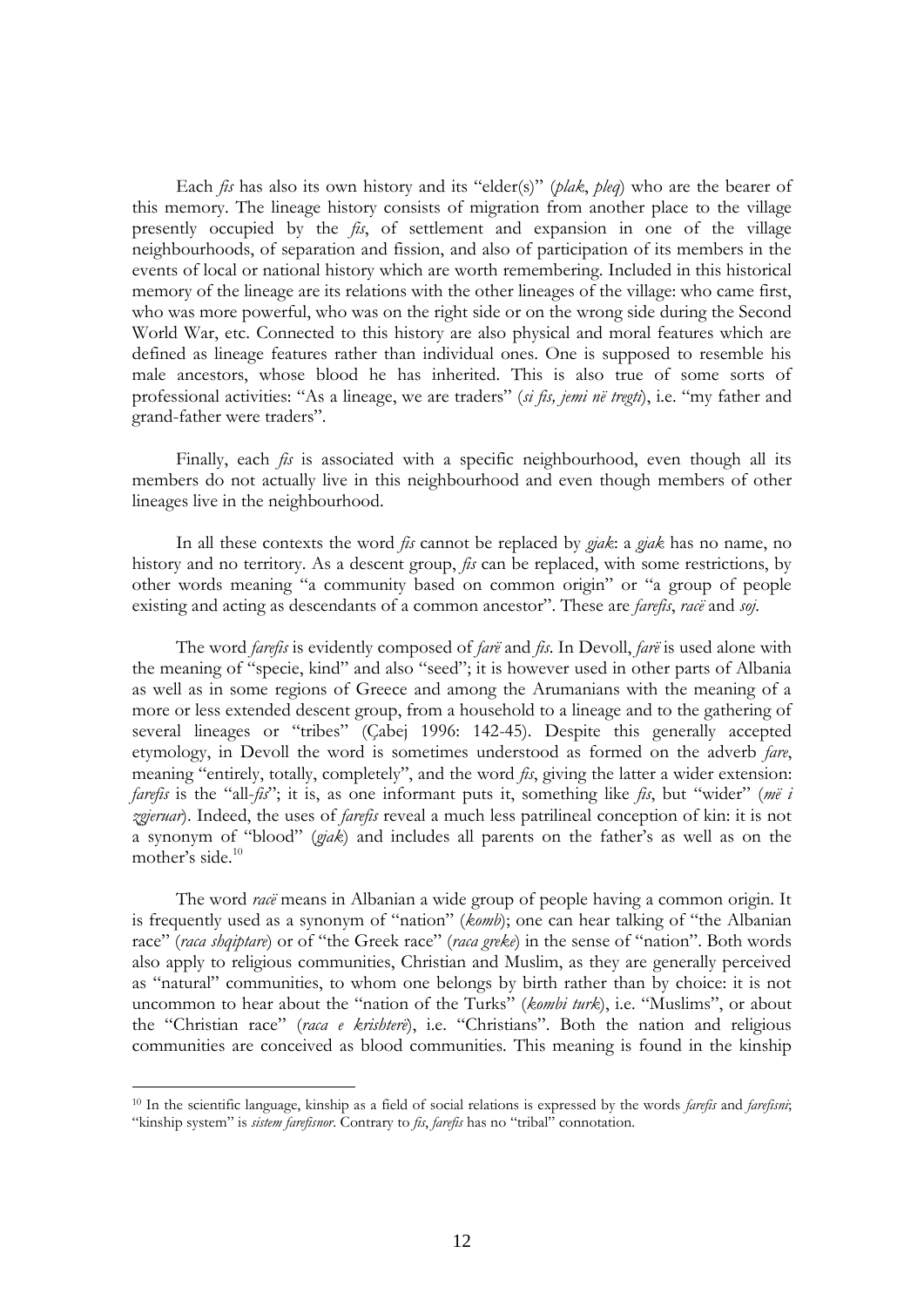Each *fis* has also its own history and its "elder(s)" (*plak*, *pleq*) who are the bearer of this memory. The lineage history consists of migration from another place to the village presently occupied by the *fis*, of settlement and expansion in one of the village neighbourhoods, of separation and fission, and also of participation of its members in the events of local or national history which are worth remembering. Included in this historical memory of the lineage are its relations with the other lineages of the village: who came first, who was more powerful, who was on the right side or on the wrong side during the Second World War, etc. Connected to this history are also physical and moral features which are defined as lineage features rather than individual ones. One is supposed to resemble his male ancestors, whose blood he has inherited. This is also true of some sorts of professional activities: "As a lineage, we are traders" (*si fis, jemi në tregti*), i.e. "my father and grand-father were traders".

Finally, each *fis* is associated with a specific neighbourhood, even though all its members do not actually live in this neighbourhood and even though members of other lineages live in the neighbourhood.

In all these contexts the word *fis* cannot be replaced by *gjak*: a *gjak* has no name, no history and no territory. As a descent group, *fis* can be replaced, with some restrictions, by other words meaning "a community based on common origin" or "a group of people existing and acting as descendants of a common ancestor". These are *farefis*, *racë* and *soj*.

The word *farefis* is evidently composed of *farë* and *fis*. In Devoll, *farë* is used alone with the meaning of "specie, kind" and also "seed"; it is however used in other parts of Albania as well as in some regions of Greece and among the Arumanians with the meaning of a more or less extended descent group, from a household to a lineage and to the gathering of several lineages or "tribes" (Çabej 1996: 142-45). Despite this generally accepted etymology, in Devoll the word is sometimes understood as formed on the adverb *fare*, meaning "entirely, totally, completely", and the word *fis*, giving the latter a wider extension: *farefis* is the "all-*fis*"; it is, as one informant puts it, something like *fis*, but "wider" (*më i zgjeruar*). Indeed, the uses of *farefis* reveal a much less patrilineal conception of kin: it is not a synonym of "blood" (*gjak*) and includes all parents on the father"s as well as on the mother's side.<sup>10</sup>

The word *racë* means in Albanian a wide group of people having a common origin. It is frequently used as a synonym of "nation" (*komb*); one can hear talking of "the Albanian race" (*raca shqiptare*) or of "the Greek race" (*raca greke*) in the sense of "nation". Both words also apply to religious communities, Christian and Muslim, as they are generally perceived as "natural" communities, to whom one belongs by birth rather than by choice: it is not uncommon to hear about the "nation of the Turks" (*kombi turk*), i.e. "Muslims", or about the "Christian race" (*raca e krishterë*), i.e. "Christians". Both the nation and religious communities are conceived as blood communities. This meaning is found in the kinship

<sup>10</sup> In the scientific language, kinship as a field of social relations is expressed by the words *farefis* and *farefisni*; "kinship system" is *sistem farefisnor*. Contrary to *fis*, *farefis* has no "tribal" connotation.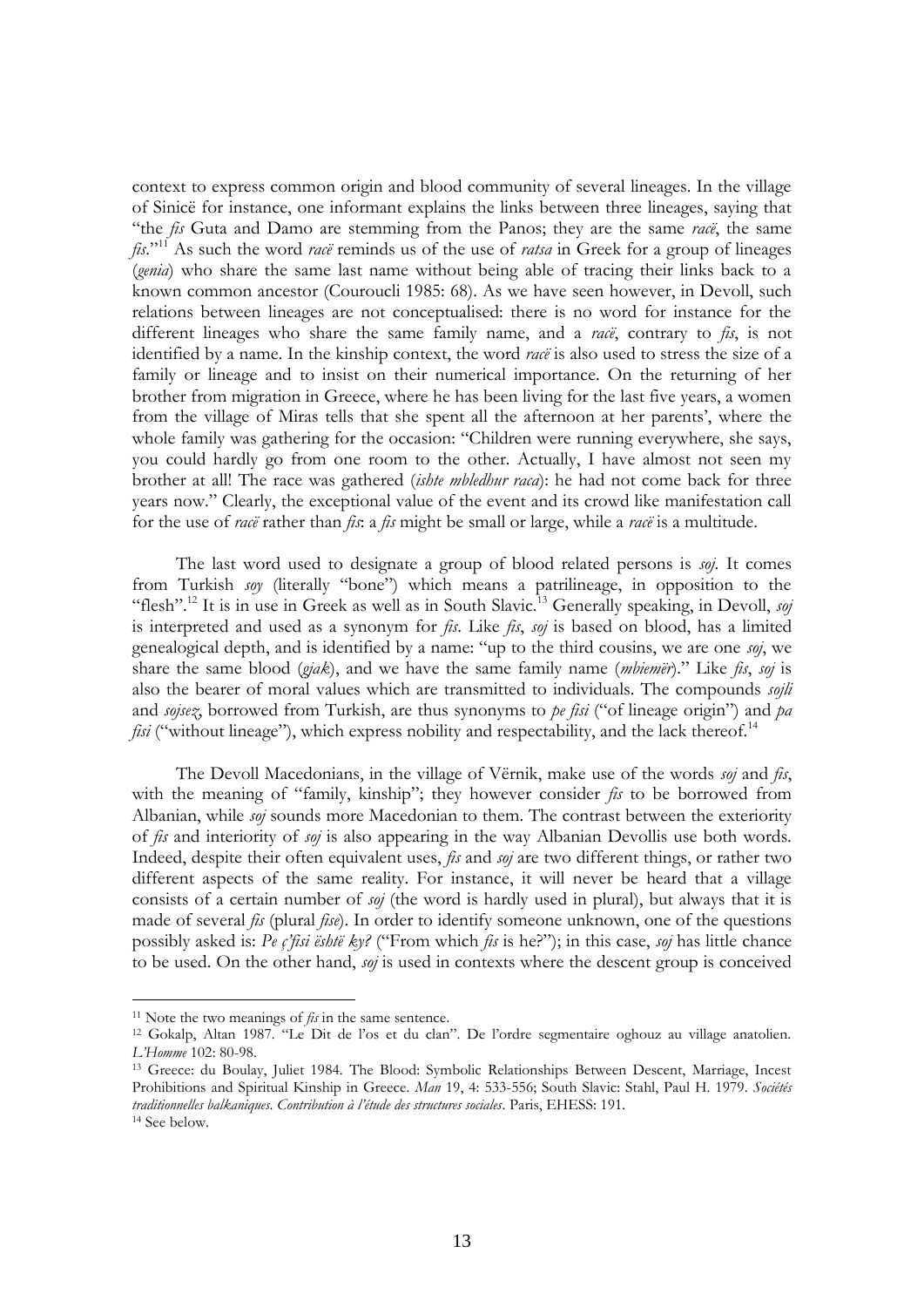context to express common origin and blood community of several lineages. In the village of Sinicë for instance, one informant explains the links between three lineages, saying that "the *fis* Guta and Damo are stemming from the Panos; they are the same *racë*, the same *fis*."<sup>11</sup> As such the word *racë* reminds us of the use of *ratsa* in Greek for a group of lineages (*genia*) who share the same last name without being able of tracing their links back to a known common ancestor (Couroucli 1985: 68). As we have seen however, in Devoll, such relations between lineages are not conceptualised: there is no word for instance for the different lineages who share the same family name, and a *racë*, contrary to *fis*, is not identified by a name. In the kinship context, the word *racë* is also used to stress the size of a family or lineage and to insist on their numerical importance. On the returning of her brother from migration in Greece, where he has been living for the last five years, a women from the village of Miras tells that she spent all the afternoon at her parents', where the whole family was gathering for the occasion: "Children were running everywhere, she says, you could hardly go from one room to the other. Actually, I have almost not seen my brother at all! The race was gathered (*ishte mbledhur raca*): he had not come back for three years now." Clearly, the exceptional value of the event and its crowd like manifestation call for the use of *racë* rather than *fis*: a *fis* might be small or large, while a *racë* is a multitude.

The last word used to designate a group of blood related persons is *soj*. It comes from Turkish *soy* (literally "bone") which means a patrilineage, in opposition to the "flesh".<sup>12</sup> It is in use in Greek as well as in South Slavic.<sup>13</sup> Generally speaking, in Devoll, *soj* is interpreted and used as a synonym for *fis*. Like *fis*, *soj* is based on blood, has a limited genealogical depth, and is identified by a name: "up to the third cousins, we are one *soj*, we share the same blood (*gjak*), and we have the same family name (*mbiemër*)." Like *fis*, *soj* is also the bearer of moral values which are transmitted to individuals. The compounds *sojli* and *sojsez*, borrowed from Turkish, are thus synonyms to *pe fisi* ("of lineage origin") and *pa fisi* ("without lineage"), which express nobility and respectability, and the lack thereof.<sup>14</sup>

The Devoll Macedonians, in the village of Vërnik, make use of the words *soj* and *fis*, with the meaning of "family, kinship"; they however consider *fis* to be borrowed from Albanian, while *soj* sounds more Macedonian to them. The contrast between the exteriority of *fis* and interiority of *soj* is also appearing in the way Albanian Devollis use both words. Indeed, despite their often equivalent uses, *fis* and *soj* are two different things, or rather two different aspects of the same reality. For instance, it will never be heard that a village consists of a certain number of *soj* (the word is hardly used in plural), but always that it is made of several *fis* (plural *fise*). In order to identify someone unknown, one of the questions possibly asked is: *Pe ç'fisi është ky?* ("From which *fis* is he?"); in this case, *soj* has little chance to be used. On the other hand, *soj* is used in contexts where the descent group is conceived

<u>.</u>

<sup>11</sup> Note the two meanings of *fis* in the same sentence.

<sup>12</sup> Gokalp, Altan 1987. "Le Dit de l"os et du clan". De l"ordre segmentaire oghouz au village anatolien. *L'Homme* 102: 80-98.

<sup>13</sup> Greece: du Boulay, Juliet 1984. The Blood: Symbolic Relationships Between Descent, Marriage, Incest Prohibitions and Spiritual Kinship in Greece. *Man* 19, 4: 533-556; South Slavic: Stahl, Paul H. 1979. *Sociétés traditionnelles balkaniques. Contribution à l'étude des structures sociales*. Paris, EHESS: 191. <sup>14</sup> See below.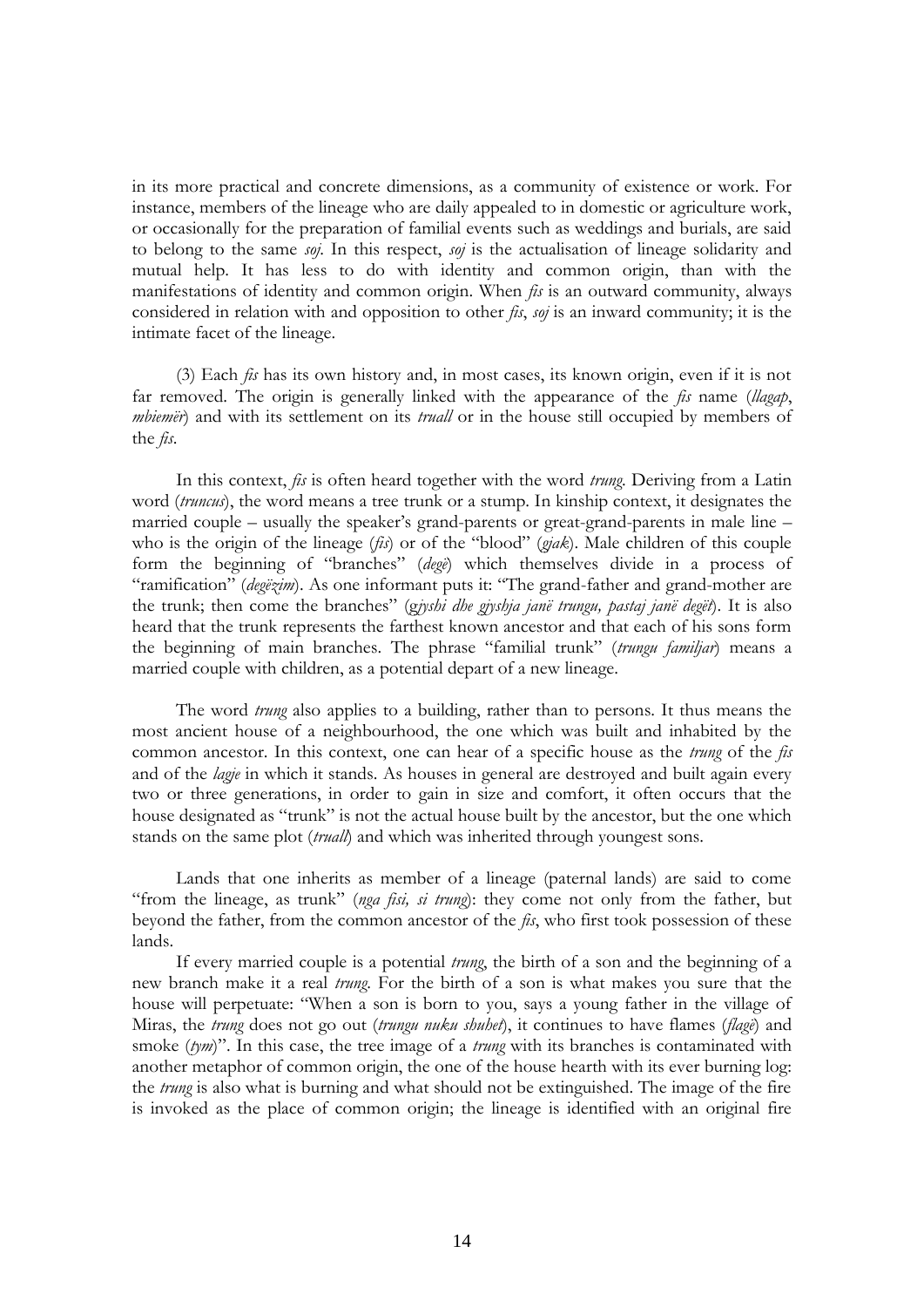in its more practical and concrete dimensions, as a community of existence or work. For instance, members of the lineage who are daily appealed to in domestic or agriculture work, or occasionally for the preparation of familial events such as weddings and burials, are said to belong to the same *soj*. In this respect, *soj* is the actualisation of lineage solidarity and mutual help. It has less to do with identity and common origin, than with the manifestations of identity and common origin. When *fis* is an outward community, always considered in relation with and opposition to other *fis*, *soj* is an inward community; it is the intimate facet of the lineage.

(3) Each *fis* has its own history and, in most cases, its known origin, even if it is not far removed. The origin is generally linked with the appearance of the *fis* name (*llagap*, *mbiemër*) and with its settlement on its *truall* or in the house still occupied by members of the *fis*.

In this context, *fis* is often heard together with the word *trung*. Deriving from a Latin word (*truncus*), the word means a tree trunk or a stump. In kinship context, it designates the married couple – usually the speaker's grand-parents or great-grand-parents in male line – who is the origin of the lineage (*fis*) or of the "blood" (*gjak*). Male children of this couple form the beginning of "branches" (*degë*) which themselves divide in a process of "ramification" (*degëzim*). As one informant puts it: "The grand-father and grand-mother are the trunk; then come the branches" (g*jyshi dhe gjyshja janë trungu, pastaj janë degët*). It is also heard that the trunk represents the farthest known ancestor and that each of his sons form the beginning of main branches. The phrase "familial trunk" (*trungu familjar*) means a married couple with children, as a potential depart of a new lineage.

The word *trung* also applies to a building, rather than to persons. It thus means the most ancient house of a neighbourhood, the one which was built and inhabited by the common ancestor. In this context, one can hear of a specific house as the *trung* of the *fis* and of the *lagje* in which it stands. As houses in general are destroyed and built again every two or three generations, in order to gain in size and comfort, it often occurs that the house designated as "trunk" is not the actual house built by the ancestor, but the one which stands on the same plot (*truall*) and which was inherited through youngest sons.

Lands that one inherits as member of a lineage (paternal lands) are said to come "from the lineage, as trunk" (*nga fisi, si trung*): they come not only from the father, but beyond the father, from the common ancestor of the *fis*, who first took possession of these lands.

If every married couple is a potential *trung*, the birth of a son and the beginning of a new branch make it a real *trung*. For the birth of a son is what makes you sure that the house will perpetuate: "When a son is born to you, says a young father in the village of Miras, the *trung* does not go out (*trungu nuku shuhet*), it continues to have flames (*flagë*) and smoke (*tym*)". In this case, the tree image of a *trung* with its branches is contaminated with another metaphor of common origin, the one of the house hearth with its ever burning log: the *trung* is also what is burning and what should not be extinguished. The image of the fire is invoked as the place of common origin; the lineage is identified with an original fire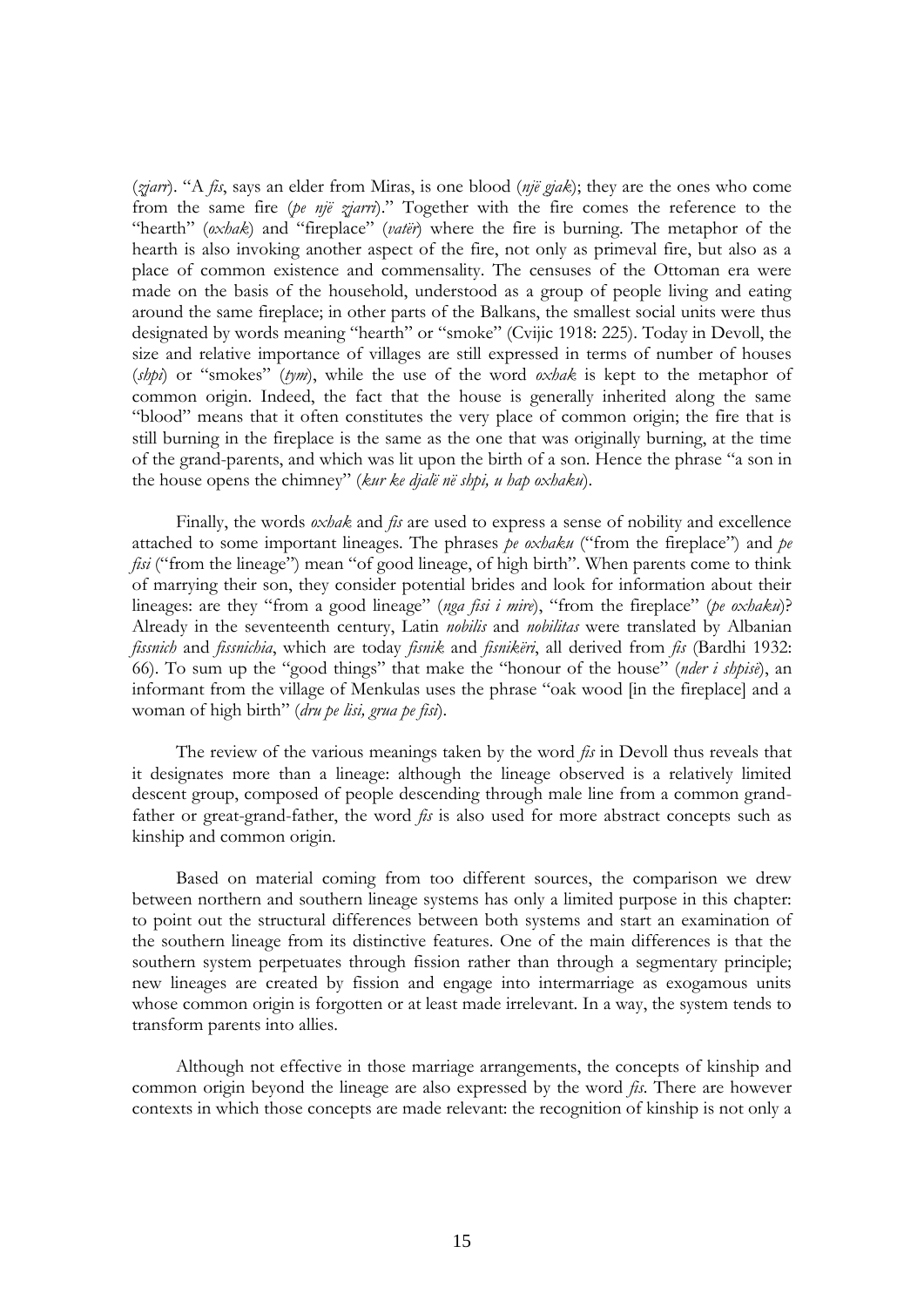(*zjarr*). "A *fis*, says an elder from Miras, is one blood (*një gjak*); they are the ones who come from the same fire (*pe një zjarri*)." Together with the fire comes the reference to the "hearth" (*oxhak*) and "fireplace" (*vatër*) where the fire is burning. The metaphor of the hearth is also invoking another aspect of the fire, not only as primeval fire, but also as a place of common existence and commensality. The censuses of the Ottoman era were made on the basis of the household, understood as a group of people living and eating around the same fireplace; in other parts of the Balkans, the smallest social units were thus designated by words meaning "hearth" or "smoke" (Cvijic 1918: 225). Today in Devoll, the size and relative importance of villages are still expressed in terms of number of houses (*shpi*) or "smokes" (*tym*), while the use of the word *oxhak* is kept to the metaphor of common origin. Indeed, the fact that the house is generally inherited along the same "blood" means that it often constitutes the very place of common origin; the fire that is still burning in the fireplace is the same as the one that was originally burning, at the time of the grand-parents, and which was lit upon the birth of a son. Hence the phrase "a son in the house opens the chimney" (*kur ke djalë në shpi, u hap oxhaku*).

Finally, the words *oxhak* and *fis* are used to express a sense of nobility and excellence attached to some important lineages. The phrases *pe oxhaku* ("from the fireplace") and *pe fisi* ("from the lineage") mean "of good lineage, of high birth". When parents come to think of marrying their son, they consider potential brides and look for information about their lineages: are they "from a good lineage" (*nga fisi i mire*), "from the fireplace" (*pe oxhaku*)? Already in the seventeenth century, Latin *nobilis* and *nobilitas* were translated by Albanian *fissnich* and *fissnichia*, which are today *fisnik* and *fisnikëri*, all derived from *fis* (Bardhi 1932: 66). To sum up the "good things" that make the "honour of the house" (*nder i shpisë*), an informant from the village of Menkulas uses the phrase "oak wood [in the fireplace] and a woman of high birth" (*dru pe lisi, grua pe fisi*).

The review of the various meanings taken by the word *fis* in Devoll thus reveals that it designates more than a lineage: although the lineage observed is a relatively limited descent group, composed of people descending through male line from a common grandfather or great-grand-father, the word *fis* is also used for more abstract concepts such as kinship and common origin.

Based on material coming from too different sources, the comparison we drew between northern and southern lineage systems has only a limited purpose in this chapter: to point out the structural differences between both systems and start an examination of the southern lineage from its distinctive features. One of the main differences is that the southern system perpetuates through fission rather than through a segmentary principle; new lineages are created by fission and engage into intermarriage as exogamous units whose common origin is forgotten or at least made irrelevant. In a way, the system tends to transform parents into allies.

Although not effective in those marriage arrangements, the concepts of kinship and common origin beyond the lineage are also expressed by the word *fis*. There are however contexts in which those concepts are made relevant: the recognition of kinship is not only a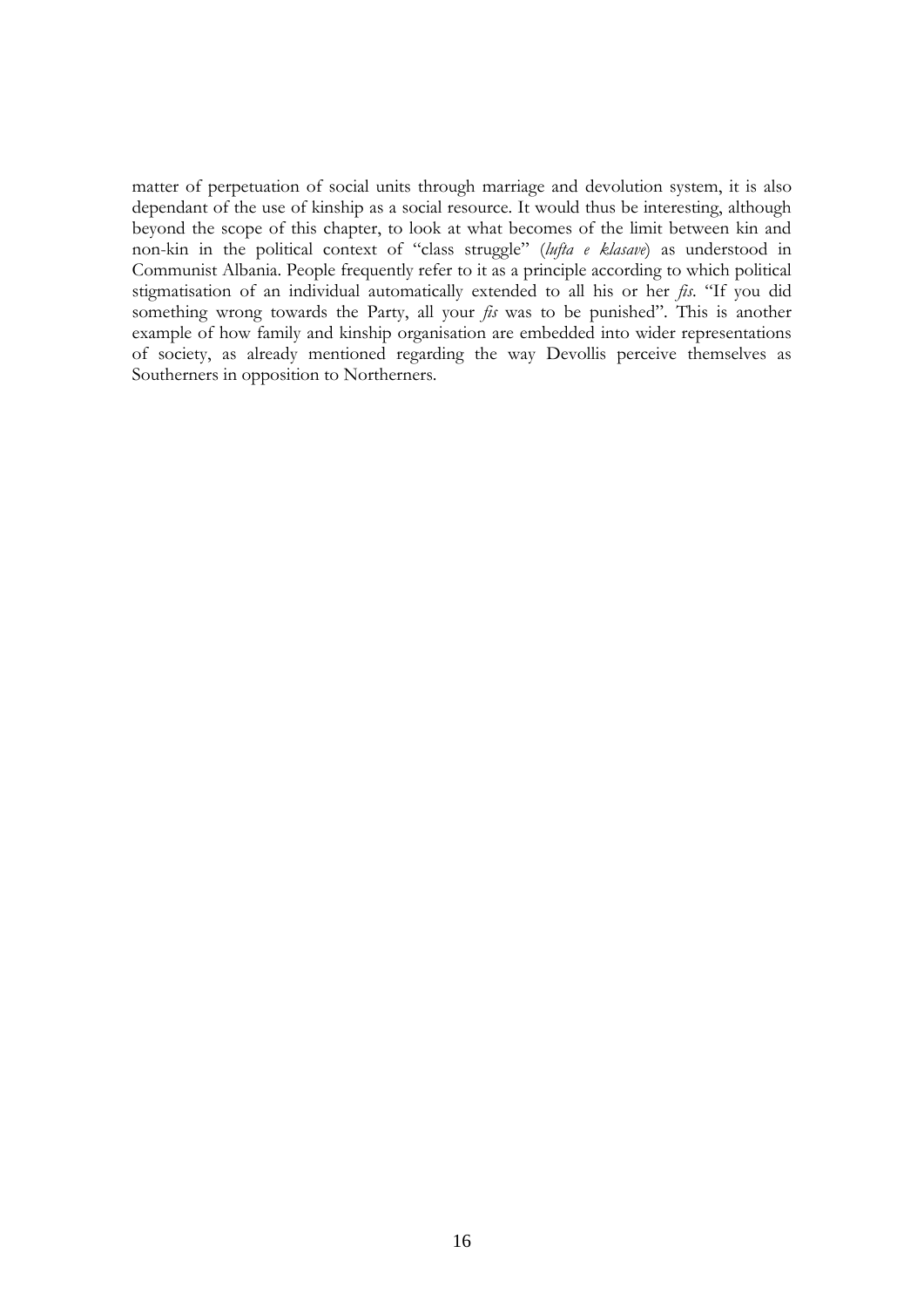matter of perpetuation of social units through marriage and devolution system, it is also dependant of the use of kinship as a social resource. It would thus be interesting, although beyond the scope of this chapter, to look at what becomes of the limit between kin and non-kin in the political context of "class struggle" (*lufta e klasave*) as understood in Communist Albania. People frequently refer to it as a principle according to which political stigmatisation of an individual automatically extended to all his or her *fis*. "If you did something wrong towards the Party, all your *fis* was to be punished". This is another example of how family and kinship organisation are embedded into wider representations of society, as already mentioned regarding the way Devollis perceive themselves as Southerners in opposition to Northerners.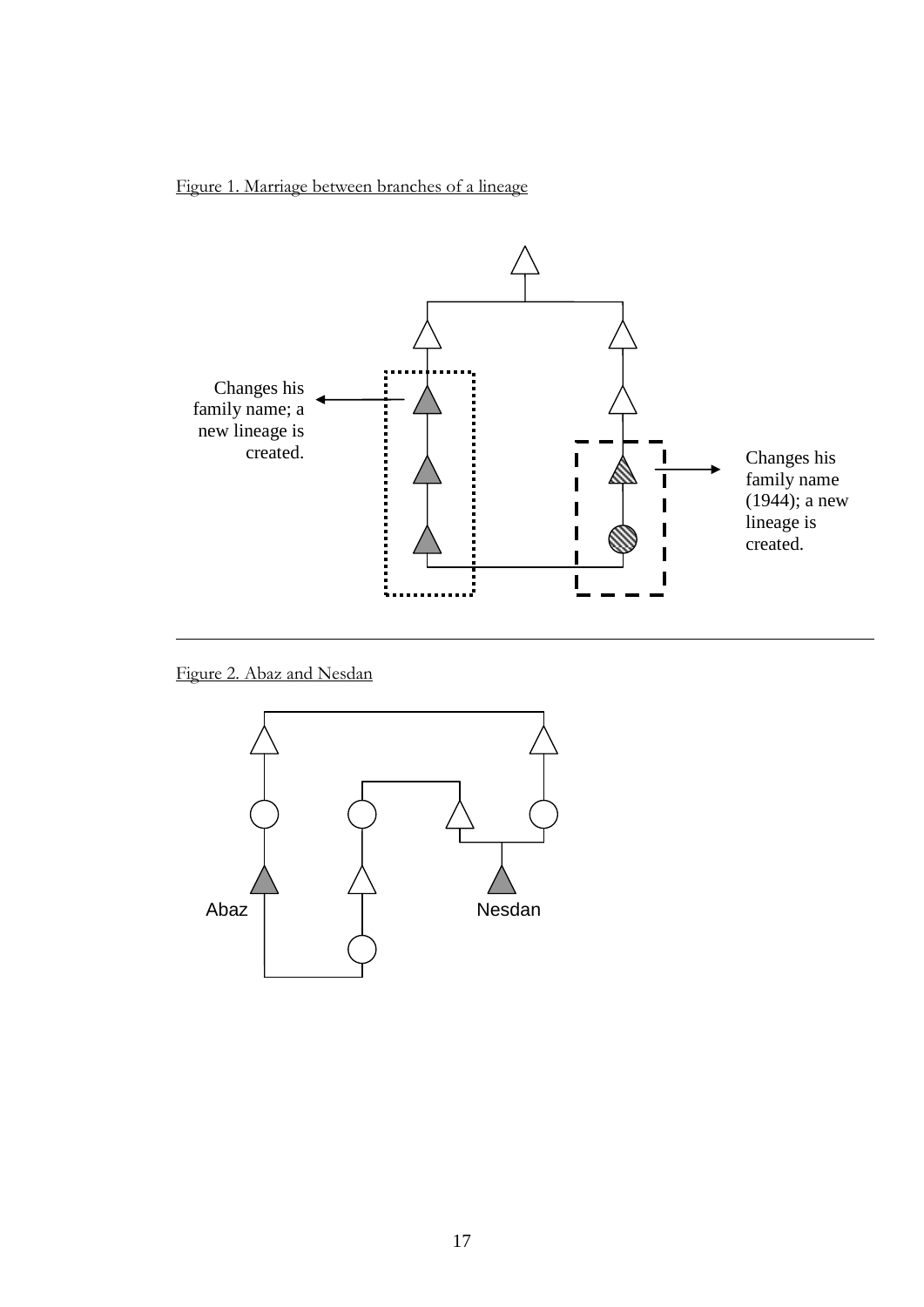



Figure 2. Abaz and Nesdan

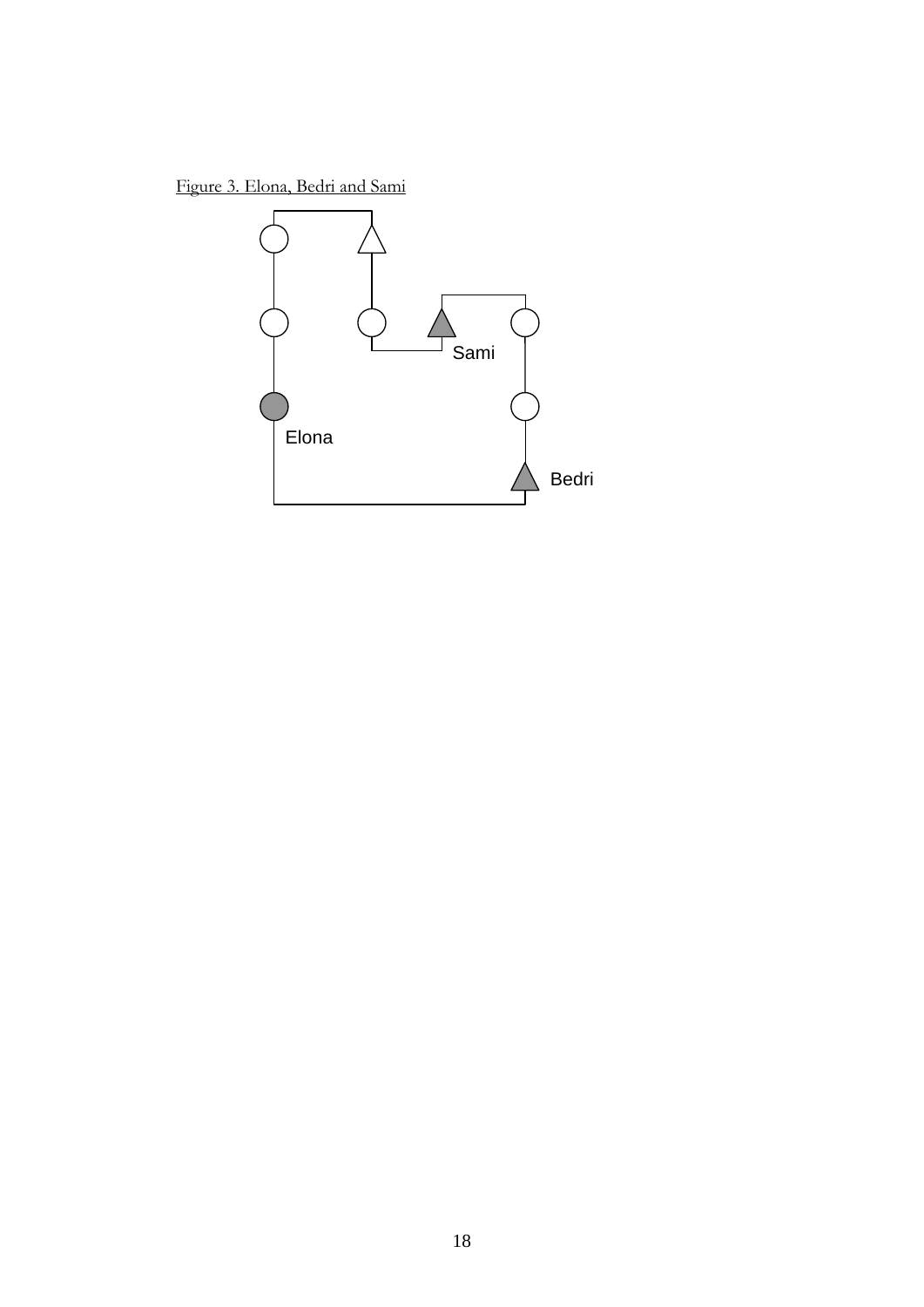Figure 3. Elona, Bedri and Sami

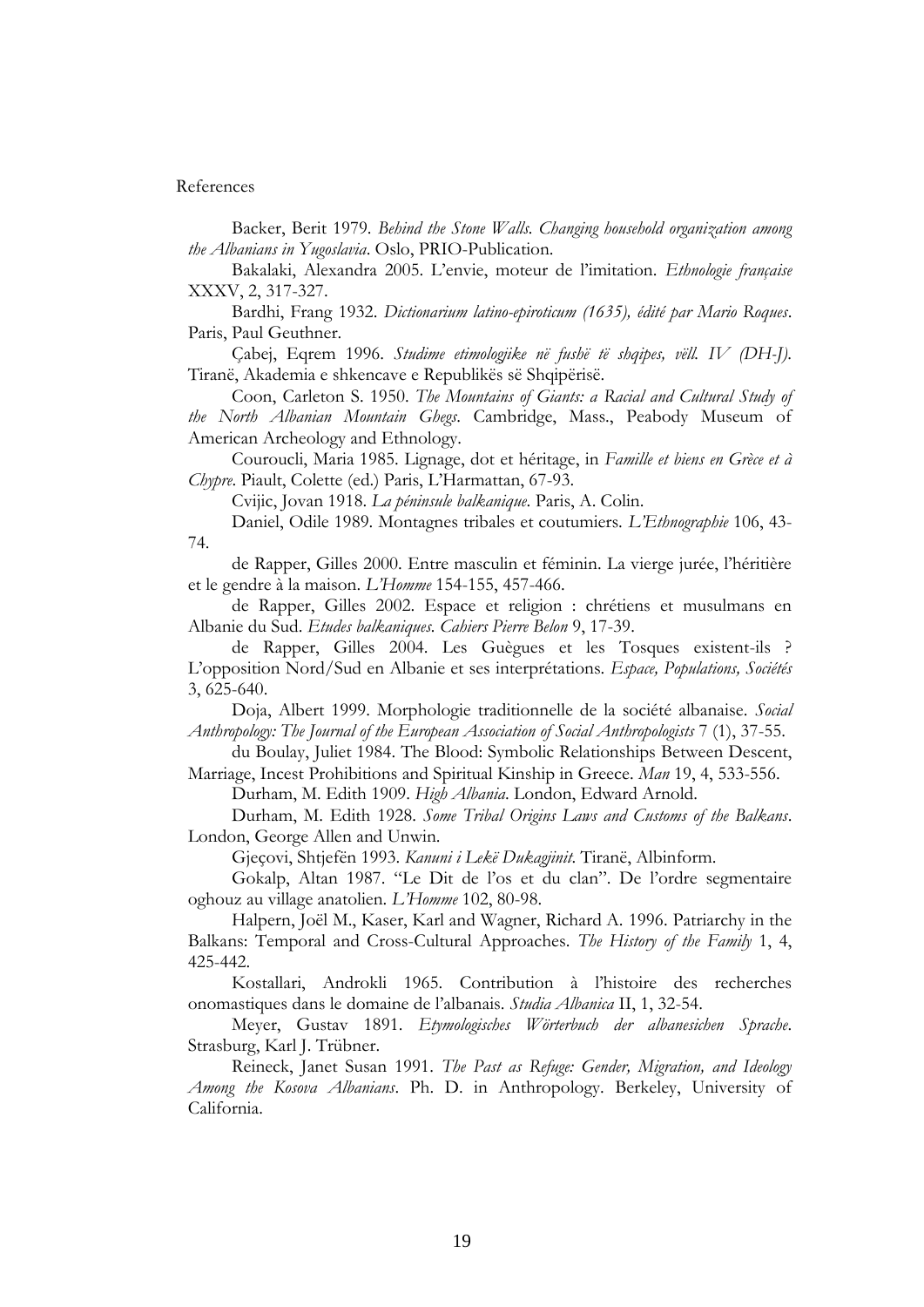#### References

Backer, Berit 1979. *Behind the Stone Walls. Changing household organization among the Albanians in Yugoslavia*. Oslo, PRIO-Publication.

Bakalaki, Alexandra 2005. L"envie, moteur de l"imitation. *Ethnologie française* XXXV, 2, 317-327.

Bardhi, Frang 1932. *Dictionarium latino-epiroticum (1635), édité par Mario Roques*. Paris, Paul Geuthner.

Çabej, Eqrem 1996. *Studime etimologjike në fushë të shqipes, vëll. IV (DH-J)*. Tiranë, Akademia e shkencave e Republikës së Shqipërisë.

Coon, Carleton S. 1950. *The Mountains of Giants: a Racial and Cultural Study of the North Albanian Mountain Ghegs*. Cambridge, Mass., Peabody Museum of American Archeology and Ethnology.

Couroucli, Maria 1985. Lignage, dot et héritage, in *Famille et biens en Grèce et à Chypre*. Piault, Colette (ed.) Paris, L"Harmattan, 67-93.

Cvijic, Jovan 1918. *La péninsule balkanique*. Paris, A. Colin.

Daniel, Odile 1989. Montagnes tribales et coutumiers. *L'Ethnographie* 106, 43- 74.

de Rapper, Gilles 2000. Entre masculin et féminin. La vierge jurée, l"héritière et le gendre à la maison. *L'Homme* 154-155, 457-466.

de Rapper, Gilles 2002. Espace et religion : chrétiens et musulmans en Albanie du Sud. *Etudes balkaniques. Cahiers Pierre Belon* 9, 17-39.

de Rapper, Gilles 2004. Les Guègues et les Tosques existent-ils ? L"opposition Nord/Sud en Albanie et ses interprétations. *Espace, Populations, Sociétés* 3, 625-640.

Doja, Albert 1999. Morphologie traditionnelle de la société albanaise. *Social Anthropology: The Journal of the European Association of Social Anthropologists* 7 (1), 37-55.

du Boulay, Juliet 1984. The Blood: Symbolic Relationships Between Descent, Marriage, Incest Prohibitions and Spiritual Kinship in Greece. *Man* 19, 4, 533-556.

Durham, M. Edith 1909. *High Albania*. London, Edward Arnold.

Durham, M. Edith 1928. *Some Tribal Origins Laws and Customs of the Balkans*. London, George Allen and Unwin.

Gjeçovi, Shtjefën 1993. *Kanuni i Lekë Dukagjinit*. Tiranë, Albinform.

Gokalp, Altan 1987. "Le Dit de l"os et du clan". De l"ordre segmentaire oghouz au village anatolien. *L'Homme* 102, 80-98.

Halpern, Joël M., Kaser, Karl and Wagner, Richard A. 1996. Patriarchy in the Balkans: Temporal and Cross-Cultural Approaches. *The History of the Family* 1, 4, 425-442.

Kostallari, Androkli 1965. Contribution à l"histoire des recherches onomastiques dans le domaine de l"albanais. *Studia Albanica* II, 1, 32-54.

Meyer, Gustav 1891. *Etymologisches Wörterbuch der albanesichen Sprache*. Strasburg, Karl J. Trübner.

Reineck, Janet Susan 1991. *The Past as Refuge: Gender, Migration, and Ideology Among the Kosova Albanians*. Ph. D. in Anthropology. Berkeley, University of California.